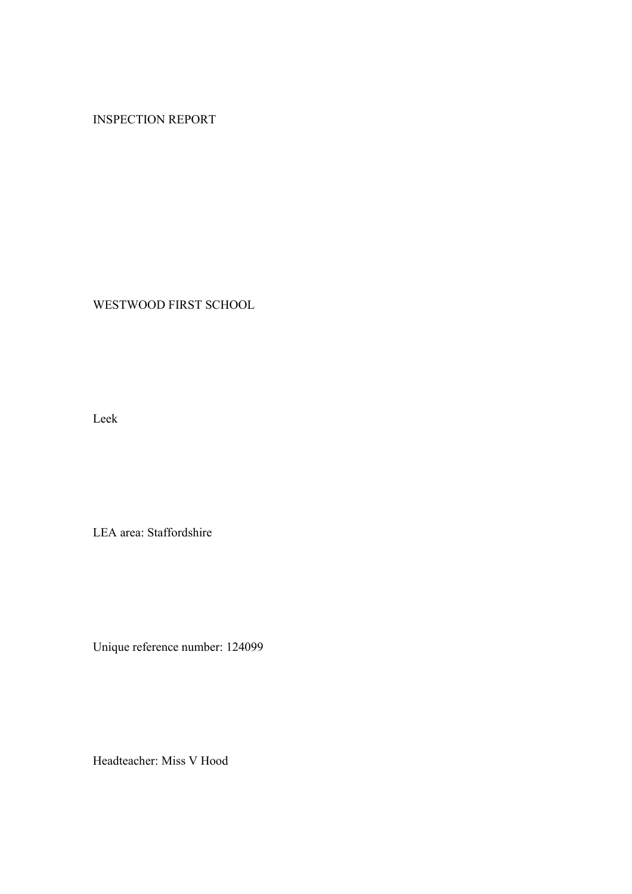# INSPECTION REPORT

WESTWOOD FIRST SCHOOL

Leek

LEA area: Staffordshire

Unique reference number: 124099

Headteacher: Miss V Hood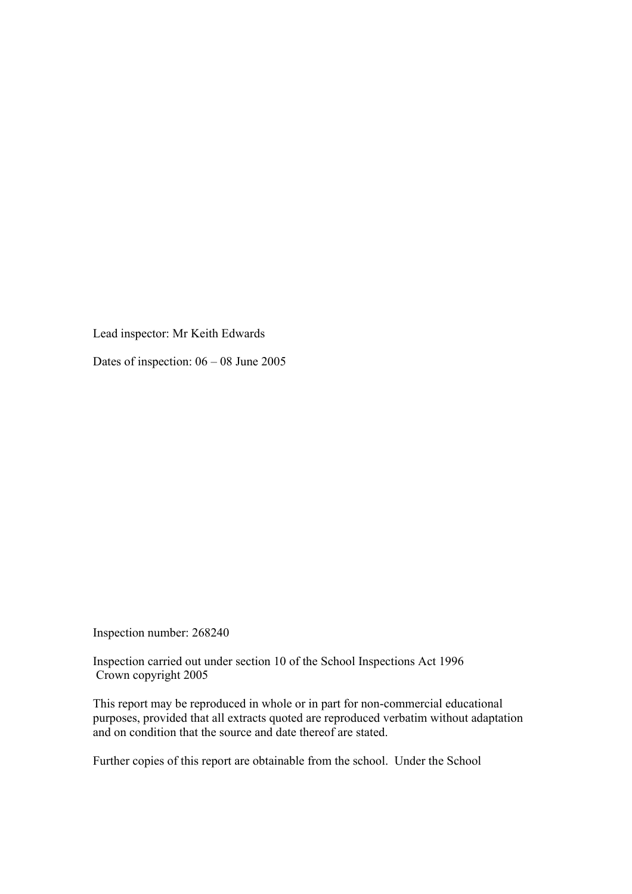Lead inspector: Mr Keith Edwards

Dates of inspection: 06 – 08 June 2005

Inspection number: 268240

Inspection carried out under section 10 of the School Inspections Act 1996 Crown copyright 2005

This report may be reproduced in whole or in part for non-commercial educational purposes, provided that all extracts quoted are reproduced verbatim without adaptation and on condition that the source and date thereof are stated.

Further copies of this report are obtainable from the school. Under the School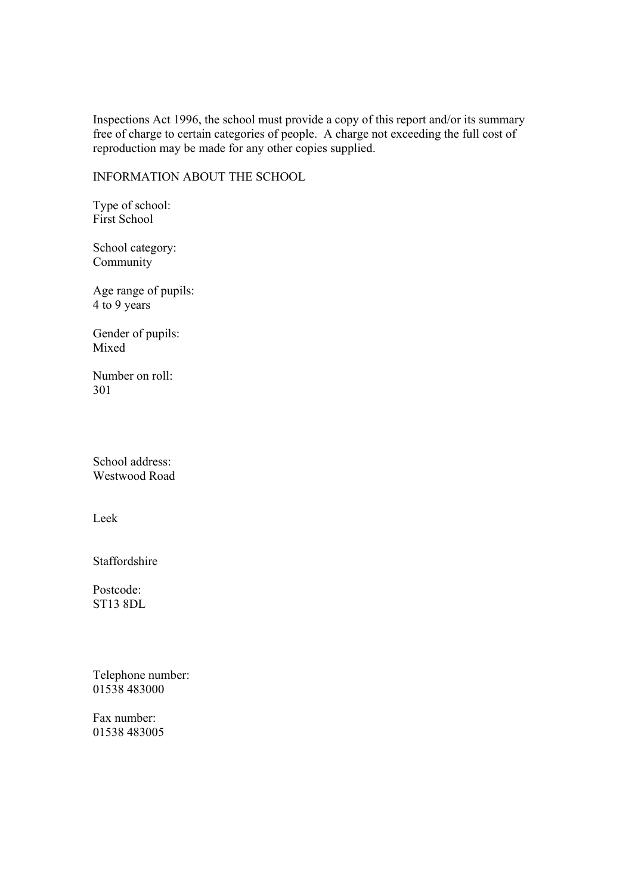Inspections Act 1996, the school must provide a copy of this report and/or its summary free of charge to certain categories of people. A charge not exceeding the full cost of reproduction may be made for any other copies supplied.

INFORMATION ABOUT THE SCHOOL

Type of school: First School

School category: Community

Age range of pupils: 4 to 9 years

Gender of pupils: Mixed

Number on roll: 301

School address: Westwood Road

Leek

Staffordshire

Postcode: ST13 8DL

Telephone number: 01538 483000

Fax number: 01538 483005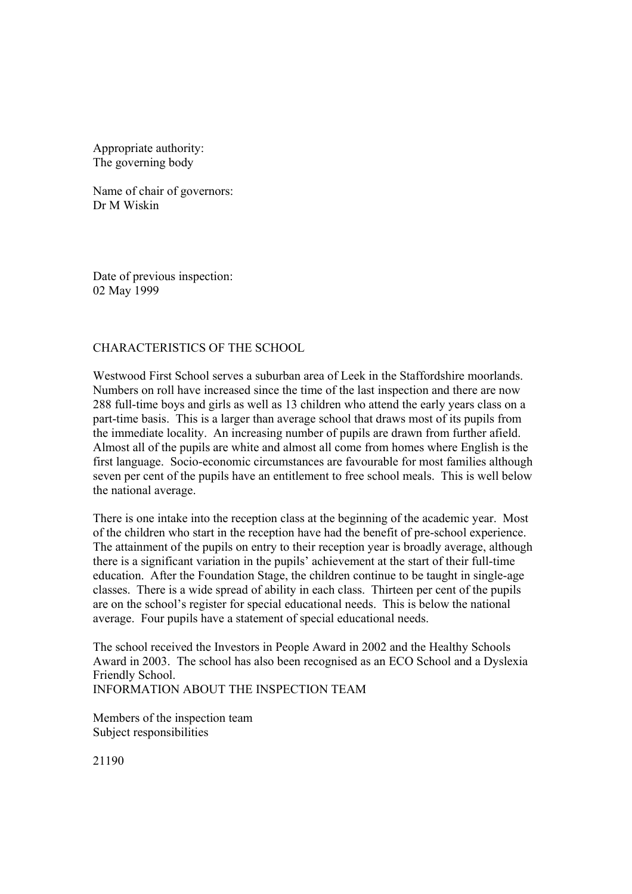Appropriate authority: The governing body

Name of chair of governors: Dr M Wiskin

Date of previous inspection: 02 May 1999

### CHARACTERISTICS OF THE SCHOOL

Westwood First School serves a suburban area of Leek in the Staffordshire moorlands. Numbers on roll have increased since the time of the last inspection and there are now 288 full-time boys and girls as well as 13 children who attend the early years class on a part-time basis. This is a larger than average school that draws most of its pupils from the immediate locality. An increasing number of pupils are drawn from further afield. Almost all of the pupils are white and almost all come from homes where English is the first language. Socio-economic circumstances are favourable for most families although seven per cent of the pupils have an entitlement to free school meals. This is well below the national average.

There is one intake into the reception class at the beginning of the academic year. Most of the children who start in the reception have had the benefit of pre-school experience. The attainment of the pupils on entry to their reception year is broadly average, although there is a significant variation in the pupils' achievement at the start of their full-time education. After the Foundation Stage, the children continue to be taught in single-age classes. There is a wide spread of ability in each class. Thirteen per cent of the pupils are on the school's register for special educational needs. This is below the national average. Four pupils have a statement of special educational needs.

The school received the Investors in People Award in 2002 and the Healthy Schools Award in 2003. The school has also been recognised as an ECO School and a Dyslexia Friendly School.

INFORMATION ABOUT THE INSPECTION TEAM

Members of the inspection team Subject responsibilities

21190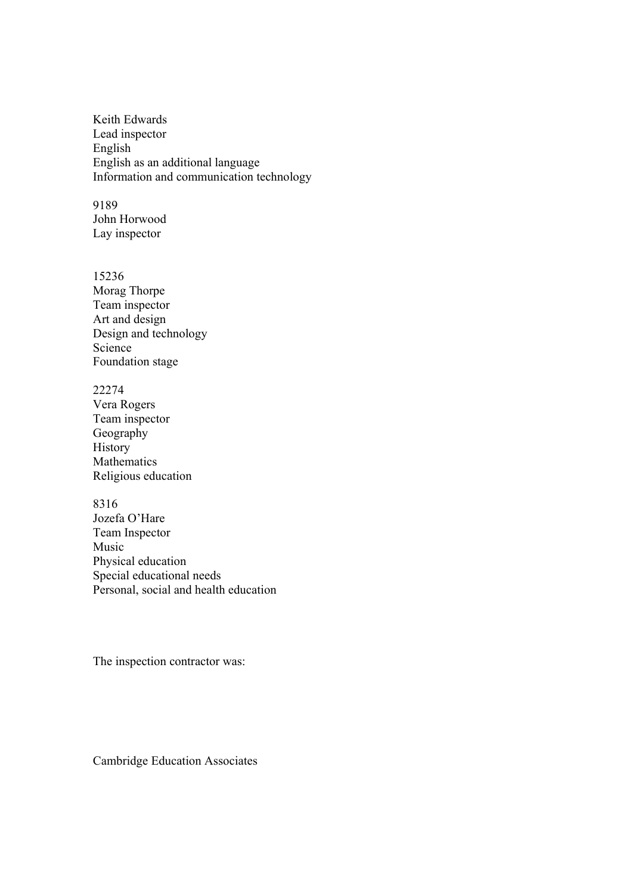Keith Edwards Lead inspector English English as an additional language Information and communication technology

9189 John Horwood Lay inspector

15236 Morag Thorpe Team inspector Art and design Design and technology Science Foundation stage

22274 Vera Rogers Team inspector **Geography** History Mathematics Religious education

8316 Jozefa O'Hare Team Inspector Music Physical education Special educational needs Personal, social and health education

The inspection contractor was:

Cambridge Education Associates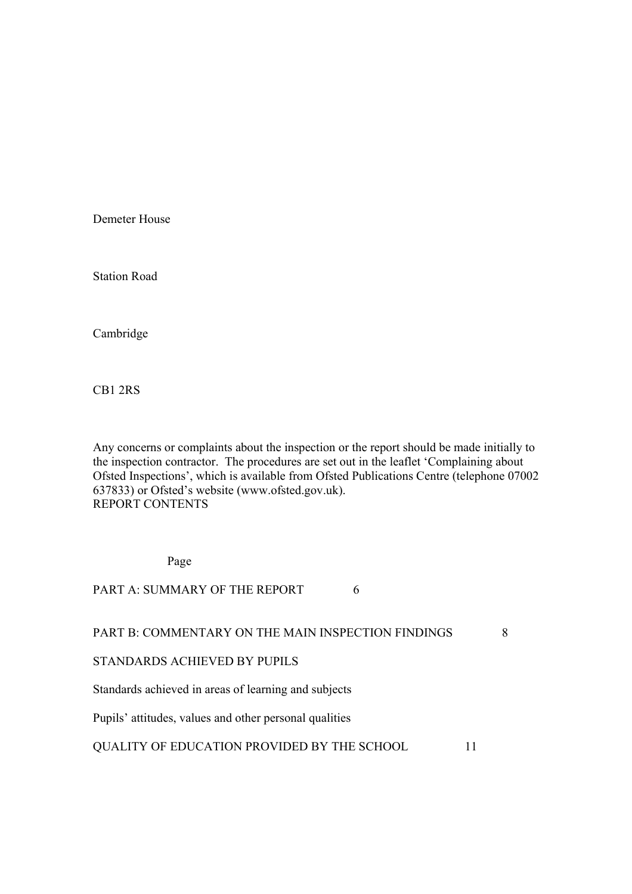Demeter House

Station Road

Cambridge

CB1 2RS

Any concerns or complaints about the inspection or the report should be made initially to the inspection contractor. The procedures are set out in the leaflet 'Complaining about Ofsted Inspections', which is available from Ofsted Publications Centre (telephone 07002 637833) or Ofsted's website (www.ofsted.gov.uk). REPORT CONTENTS

Page

PART A: SUMMARY OF THE REPORT 6

### PART B: COMMENTARY ON THE MAIN INSPECTION FINDINGS 8

### STANDARDS ACHIEVED BY PUPILS

Standards achieved in areas of learning and subjects

Pupils' attitudes, values and other personal qualities

### QUALITY OF EDUCATION PROVIDED BY THE SCHOOL 11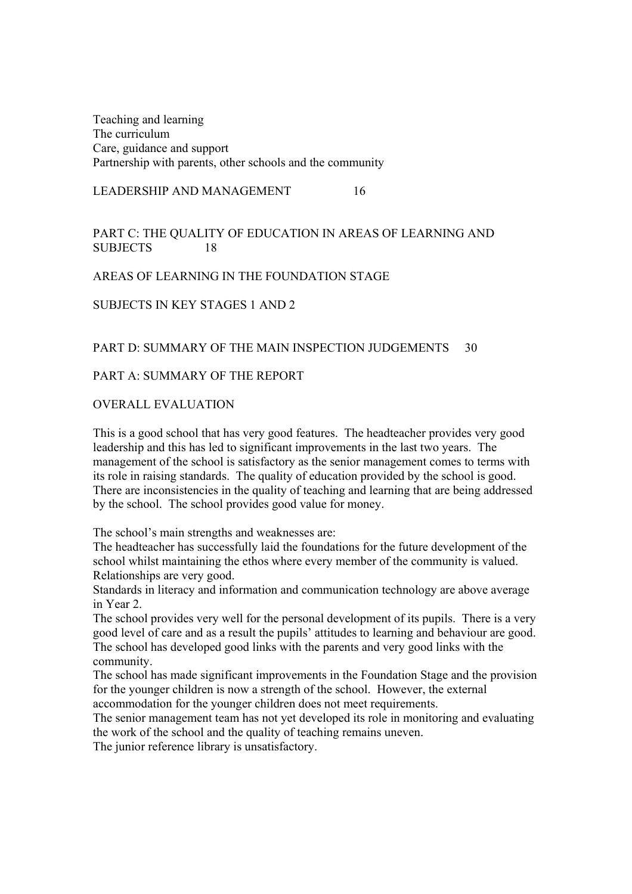Teaching and learning The curriculum Care, guidance and support Partnership with parents, other schools and the community

LEADERSHIP AND MANAGEMENT 16

# PART C: THE QUALITY OF EDUCATION IN AREAS OF LEARNING AND SUBJECTS 18

# AREAS OF LEARNING IN THE FOUNDATION STAGE

# SUBJECTS IN KEY STAGES 1 AND 2

# PART D: SUMMARY OF THE MAIN INSPECTION JUDGEMENTS 30

# PART A: SUMMARY OF THE REPORT

# OVERALL EVALUATION

This is a good school that has very good features. The headteacher provides very good leadership and this has led to significant improvements in the last two years. The management of the school is satisfactory as the senior management comes to terms with its role in raising standards. The quality of education provided by the school is good. There are inconsistencies in the quality of teaching and learning that are being addressed by the school. The school provides good value for money.

The school's main strengths and weaknesses are:

The headteacher has successfully laid the foundations for the future development of the school whilst maintaining the ethos where every member of the community is valued. Relationships are very good.

Standards in literacy and information and communication technology are above average in Year 2.

The school provides very well for the personal development of its pupils. There is a very good level of care and as a result the pupils' attitudes to learning and behaviour are good. The school has developed good links with the parents and very good links with the community.

The school has made significant improvements in the Foundation Stage and the provision for the younger children is now a strength of the school. However, the external accommodation for the younger children does not meet requirements.

The senior management team has not yet developed its role in monitoring and evaluating the work of the school and the quality of teaching remains uneven.

The junior reference library is unsatisfactory.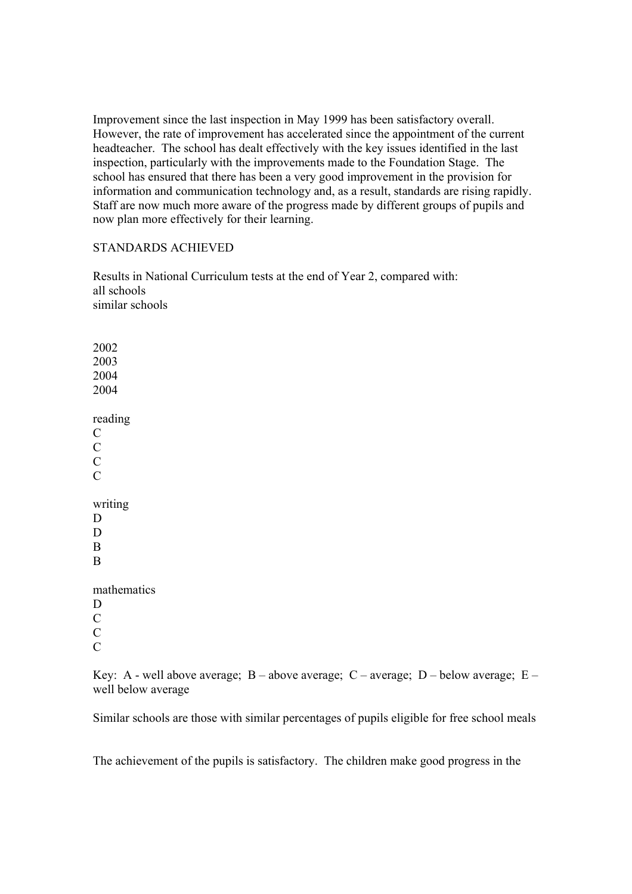Improvement since the last inspection in May 1999 has been satisfactory overall. However, the rate of improvement has accelerated since the appointment of the current headteacher. The school has dealt effectively with the key issues identified in the last inspection, particularly with the improvements made to the Foundation Stage. The school has ensured that there has been a very good improvement in the provision for information and communication technology and, as a result, standards are rising rapidly. Staff are now much more aware of the progress made by different groups of pupils and now plan more effectively for their learning.

### STANDARDS ACHIEVED

Results in National Curriculum tests at the end of Year 2, compared with: all schools similar schools

2002 2003 2004 2004 reading  $\mathcal{C}$  $\overline{C}$  $\overline{C}$  $\overline{C}$ writing D D B B mathematics D C C  $\mathcal{C}$ 

Key: A - well above average;  $B$  – above average;  $C$  – average;  $D$  – below average;  $E$  – well below average

Similar schools are those with similar percentages of pupils eligible for free school meals

The achievement of the pupils is satisfactory. The children make good progress in the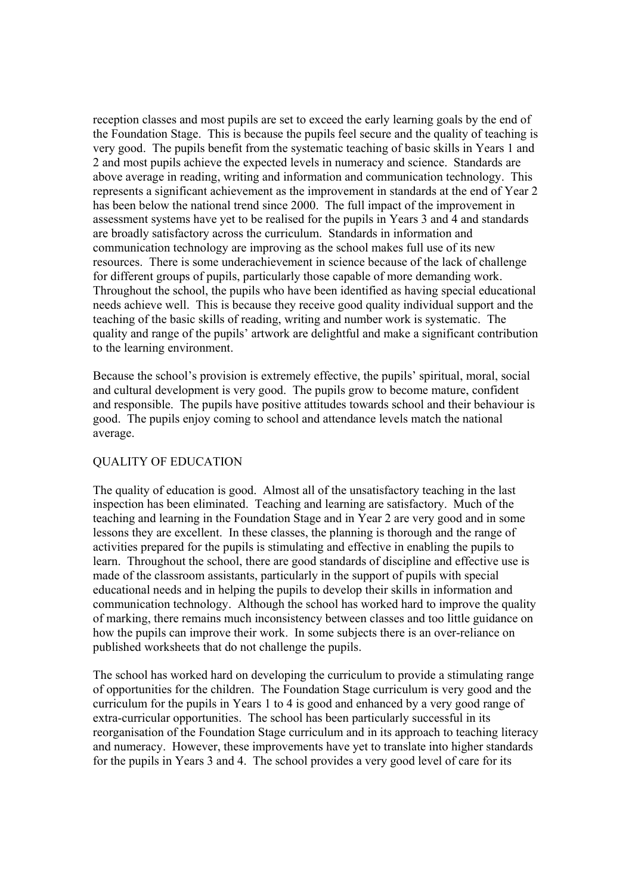reception classes and most pupils are set to exceed the early learning goals by the end of the Foundation Stage. This is because the pupils feel secure and the quality of teaching is very good. The pupils benefit from the systematic teaching of basic skills in Years 1 and 2 and most pupils achieve the expected levels in numeracy and science. Standards are above average in reading, writing and information and communication technology. This represents a significant achievement as the improvement in standards at the end of Year 2 has been below the national trend since 2000. The full impact of the improvement in assessment systems have yet to be realised for the pupils in Years 3 and 4 and standards are broadly satisfactory across the curriculum. Standards in information and communication technology are improving as the school makes full use of its new resources. There is some underachievement in science because of the lack of challenge for different groups of pupils, particularly those capable of more demanding work. Throughout the school, the pupils who have been identified as having special educational needs achieve well. This is because they receive good quality individual support and the teaching of the basic skills of reading, writing and number work is systematic. The quality and range of the pupils' artwork are delightful and make a significant contribution to the learning environment.

Because the school's provision is extremely effective, the pupils' spiritual, moral, social and cultural development is very good. The pupils grow to become mature, confident and responsible. The pupils have positive attitudes towards school and their behaviour is good. The pupils enjoy coming to school and attendance levels match the national average.

# QUALITY OF EDUCATION

The quality of education is good. Almost all of the unsatisfactory teaching in the last inspection has been eliminated. Teaching and learning are satisfactory. Much of the teaching and learning in the Foundation Stage and in Year 2 are very good and in some lessons they are excellent. In these classes, the planning is thorough and the range of activities prepared for the pupils is stimulating and effective in enabling the pupils to learn. Throughout the school, there are good standards of discipline and effective use is made of the classroom assistants, particularly in the support of pupils with special educational needs and in helping the pupils to develop their skills in information and communication technology. Although the school has worked hard to improve the quality of marking, there remains much inconsistency between classes and too little guidance on how the pupils can improve their work. In some subjects there is an over-reliance on published worksheets that do not challenge the pupils.

The school has worked hard on developing the curriculum to provide a stimulating range of opportunities for the children. The Foundation Stage curriculum is very good and the curriculum for the pupils in Years 1 to 4 is good and enhanced by a very good range of extra-curricular opportunities. The school has been particularly successful in its reorganisation of the Foundation Stage curriculum and in its approach to teaching literacy and numeracy. However, these improvements have yet to translate into higher standards for the pupils in Years 3 and 4. The school provides a very good level of care for its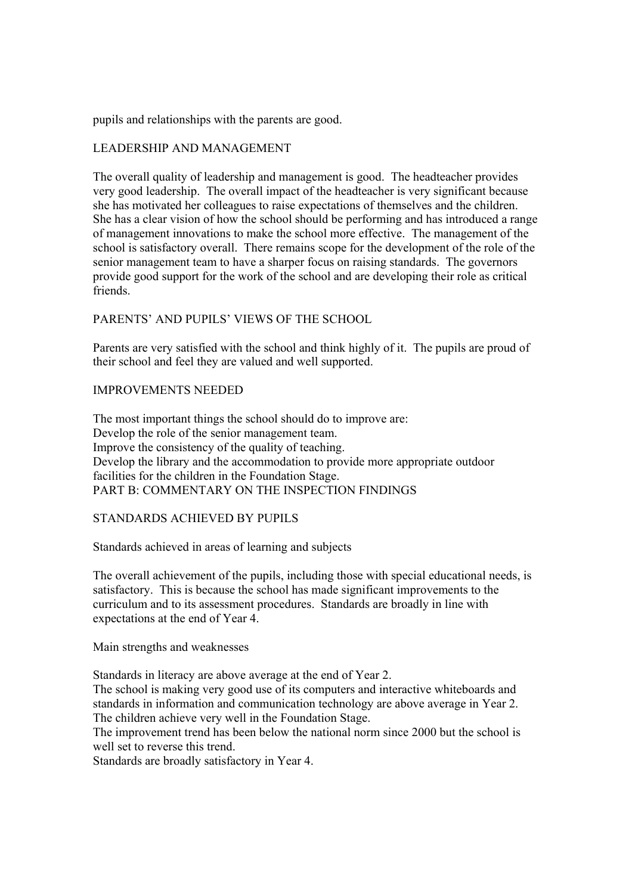pupils and relationships with the parents are good.

## LEADERSHIP AND MANAGEMENT

The overall quality of leadership and management is good. The headteacher provides very good leadership. The overall impact of the headteacher is very significant because she has motivated her colleagues to raise expectations of themselves and the children. She has a clear vision of how the school should be performing and has introduced a range of management innovations to make the school more effective. The management of the school is satisfactory overall. There remains scope for the development of the role of the senior management team to have a sharper focus on raising standards. The governors provide good support for the work of the school and are developing their role as critical friends.

# PARENTS' AND PUPILS' VIEWS OF THE SCHOOL

Parents are very satisfied with the school and think highly of it. The pupils are proud of their school and feel they are valued and well supported.

### IMPROVEMENTS NEEDED

The most important things the school should do to improve are: Develop the role of the senior management team. Improve the consistency of the quality of teaching. Develop the library and the accommodation to provide more appropriate outdoor facilities for the children in the Foundation Stage. PART B: COMMENTARY ON THE INSPECTION FINDINGS

## STANDARDS ACHIEVED BY PUPILS

Standards achieved in areas of learning and subjects

The overall achievement of the pupils, including those with special educational needs, is satisfactory. This is because the school has made significant improvements to the curriculum and to its assessment procedures. Standards are broadly in line with expectations at the end of Year 4.

Main strengths and weaknesses

Standards in literacy are above average at the end of Year 2.

The school is making very good use of its computers and interactive whiteboards and standards in information and communication technology are above average in Year 2. The children achieve very well in the Foundation Stage.

The improvement trend has been below the national norm since 2000 but the school is well set to reverse this trend.

Standards are broadly satisfactory in Year 4.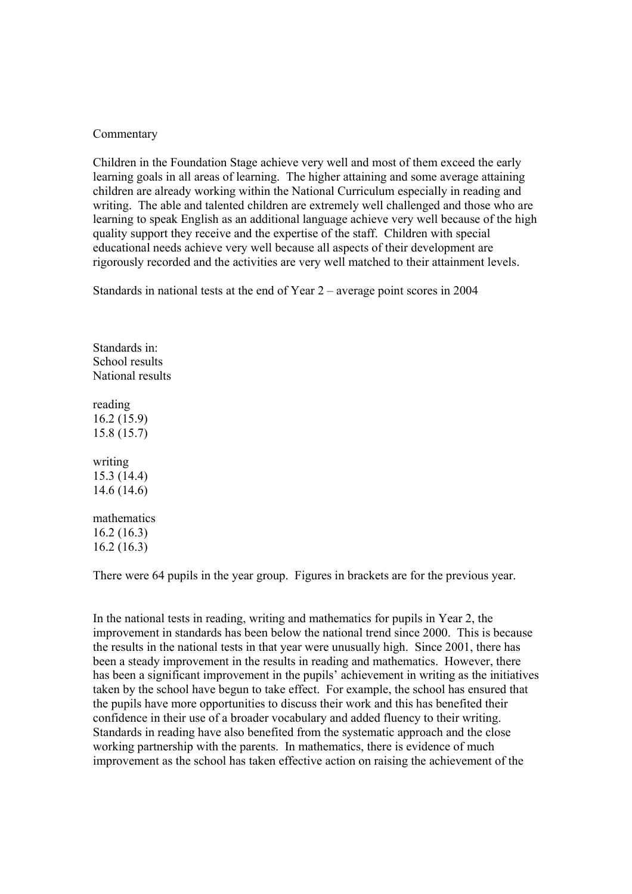### Commentary

Children in the Foundation Stage achieve very well and most of them exceed the early learning goals in all areas of learning. The higher attaining and some average attaining children are already working within the National Curriculum especially in reading and writing. The able and talented children are extremely well challenged and those who are learning to speak English as an additional language achieve very well because of the high quality support they receive and the expertise of the staff. Children with special educational needs achieve very well because all aspects of their development are rigorously recorded and the activities are very well matched to their attainment levels.

Standards in national tests at the end of Year 2 – average point scores in 2004

Standards in: School results National results

reading 16.2 (15.9) 15.8 (15.7)

writing 15.3 (14.4) 14.6 (14.6)

mathematics 16.2 (16.3) 16.2 (16.3)

There were 64 pupils in the year group. Figures in brackets are for the previous year.

In the national tests in reading, writing and mathematics for pupils in Year 2, the improvement in standards has been below the national trend since 2000. This is because the results in the national tests in that year were unusually high. Since 2001, there has been a steady improvement in the results in reading and mathematics. However, there has been a significant improvement in the pupils' achievement in writing as the initiatives taken by the school have begun to take effect. For example, the school has ensured that the pupils have more opportunities to discuss their work and this has benefited their confidence in their use of a broader vocabulary and added fluency to their writing. Standards in reading have also benefited from the systematic approach and the close working partnership with the parents. In mathematics, there is evidence of much improvement as the school has taken effective action on raising the achievement of the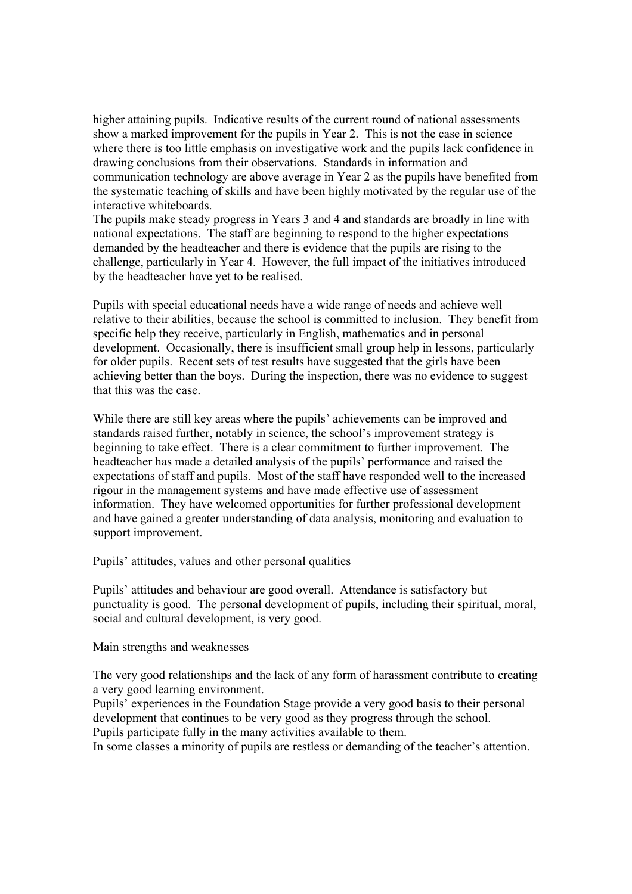higher attaining pupils. Indicative results of the current round of national assessments show a marked improvement for the pupils in Year 2. This is not the case in science where there is too little emphasis on investigative work and the pupils lack confidence in drawing conclusions from their observations. Standards in information and communication technology are above average in Year 2 as the pupils have benefited from the systematic teaching of skills and have been highly motivated by the regular use of the interactive whiteboards.

The pupils make steady progress in Years 3 and 4 and standards are broadly in line with national expectations. The staff are beginning to respond to the higher expectations demanded by the headteacher and there is evidence that the pupils are rising to the challenge, particularly in Year 4. However, the full impact of the initiatives introduced by the headteacher have yet to be realised.

Pupils with special educational needs have a wide range of needs and achieve well relative to their abilities, because the school is committed to inclusion. They benefit from specific help they receive, particularly in English, mathematics and in personal development. Occasionally, there is insufficient small group help in lessons, particularly for older pupils. Recent sets of test results have suggested that the girls have been achieving better than the boys. During the inspection, there was no evidence to suggest that this was the case.

While there are still key areas where the pupils' achievements can be improved and standards raised further, notably in science, the school's improvement strategy is beginning to take effect. There is a clear commitment to further improvement. The headteacher has made a detailed analysis of the pupils' performance and raised the expectations of staff and pupils. Most of the staff have responded well to the increased rigour in the management systems and have made effective use of assessment information. They have welcomed opportunities for further professional development and have gained a greater understanding of data analysis, monitoring and evaluation to support improvement.

Pupils' attitudes, values and other personal qualities

Pupils' attitudes and behaviour are good overall. Attendance is satisfactory but punctuality is good. The personal development of pupils, including their spiritual, moral, social and cultural development, is very good.

Main strengths and weaknesses

The very good relationships and the lack of any form of harassment contribute to creating a very good learning environment.

Pupils' experiences in the Foundation Stage provide a very good basis to their personal development that continues to be very good as they progress through the school. Pupils participate fully in the many activities available to them.

In some classes a minority of pupils are restless or demanding of the teacher's attention.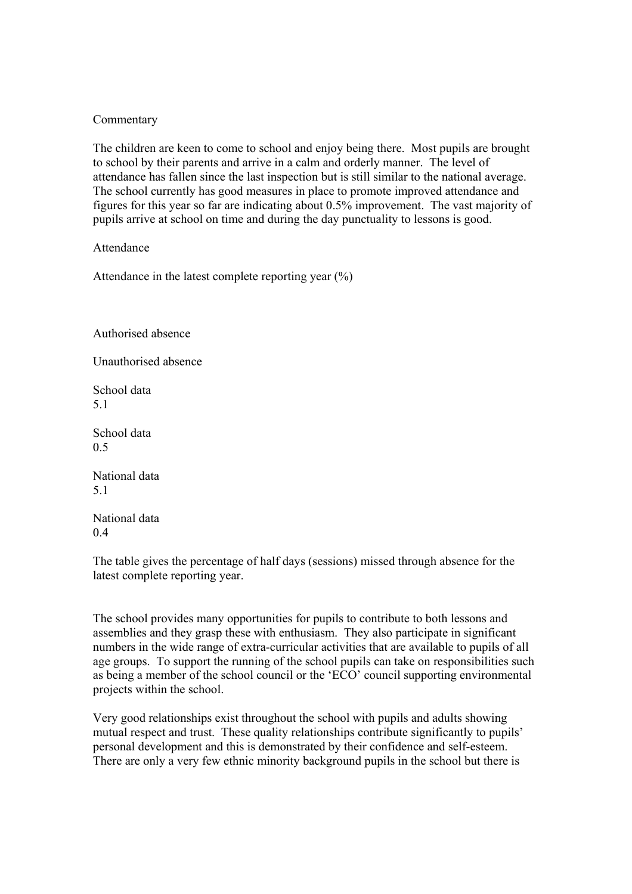### Commentary

The children are keen to come to school and enjoy being there. Most pupils are brought to school by their parents and arrive in a calm and orderly manner. The level of attendance has fallen since the last inspection but is still similar to the national average. The school currently has good measures in place to promote improved attendance and figures for this year so far are indicating about 0.5% improvement. The vast majority of pupils arrive at school on time and during the day punctuality to lessons is good.

Attendance

Attendance in the latest complete reporting year  $(\% )$ 

Authorised absence

Unauthorised absence

School data 5.1

School data 0.5

National data 5.1

National data 0.4

The table gives the percentage of half days (sessions) missed through absence for the latest complete reporting year.

The school provides many opportunities for pupils to contribute to both lessons and assemblies and they grasp these with enthusiasm. They also participate in significant numbers in the wide range of extra-curricular activities that are available to pupils of all age groups. To support the running of the school pupils can take on responsibilities such as being a member of the school council or the 'ECO' council supporting environmental projects within the school.

Very good relationships exist throughout the school with pupils and adults showing mutual respect and trust. These quality relationships contribute significantly to pupils' personal development and this is demonstrated by their confidence and self-esteem. There are only a very few ethnic minority background pupils in the school but there is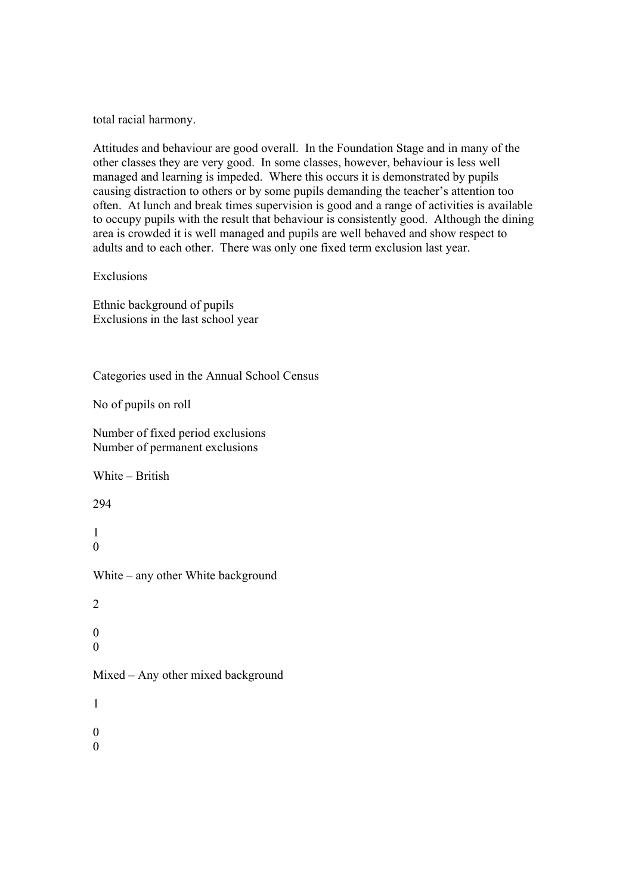total racial harmony.

Attitudes and behaviour are good overall. In the Foundation Stage and in many of the other classes they are very good. In some classes, however, behaviour is less well managed and learning is impeded. Where this occurs it is demonstrated by pupils causing distraction to others or by some pupils demanding the teacher's attention too often. At lunch and break times supervision is good and a range of activities is available to occupy pupils with the result that behaviour is consistently good. Although the dining area is crowded it is well managed and pupils are well behaved and show respect to adults and to each other. There was only one fixed term exclusion last year.

### Exclusions

Ethnic background of pupils Exclusions in the last school year

Categories used in the Annual School Census

No of pupils on roll

Number of fixed period exclusions Number of permanent exclusions

White – British

294

1  $\Omega$ 

White – any other White background

2

0  $\Omega$ 

Mixed – Any other mixed background

1 0

0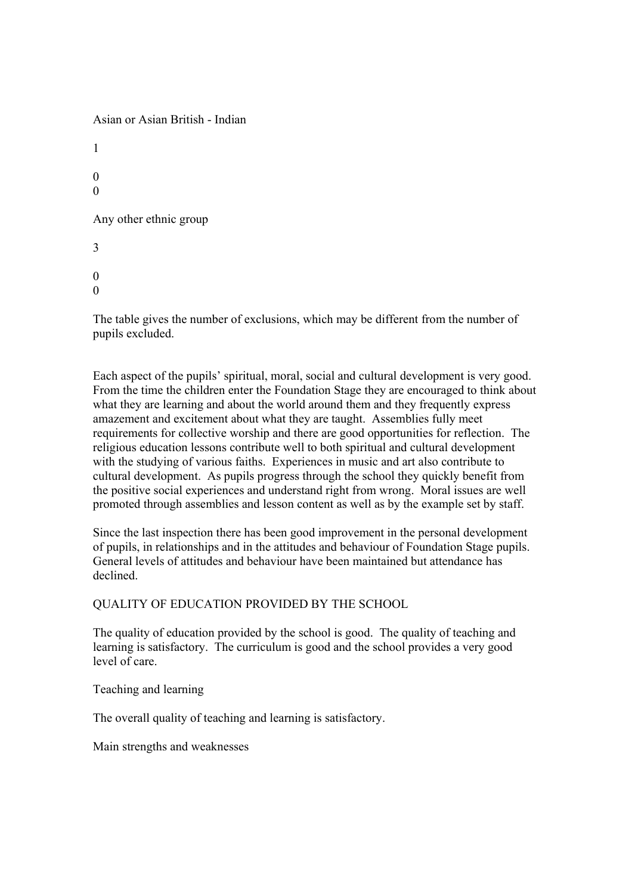Asian or Asian British - Indian

1  $\Omega$ 0 Any other ethnic group 3  $\Omega$  $\Omega$ 

The table gives the number of exclusions, which may be different from the number of pupils excluded.

Each aspect of the pupils' spiritual, moral, social and cultural development is very good. From the time the children enter the Foundation Stage they are encouraged to think about what they are learning and about the world around them and they frequently express amazement and excitement about what they are taught. Assemblies fully meet requirements for collective worship and there are good opportunities for reflection. The religious education lessons contribute well to both spiritual and cultural development with the studying of various faiths. Experiences in music and art also contribute to cultural development. As pupils progress through the school they quickly benefit from the positive social experiences and understand right from wrong. Moral issues are well promoted through assemblies and lesson content as well as by the example set by staff.

Since the last inspection there has been good improvement in the personal development of pupils, in relationships and in the attitudes and behaviour of Foundation Stage pupils. General levels of attitudes and behaviour have been maintained but attendance has declined.

QUALITY OF EDUCATION PROVIDED BY THE SCHOOL

The quality of education provided by the school is good. The quality of teaching and learning is satisfactory. The curriculum is good and the school provides a very good level of care.

Teaching and learning

The overall quality of teaching and learning is satisfactory.

Main strengths and weaknesses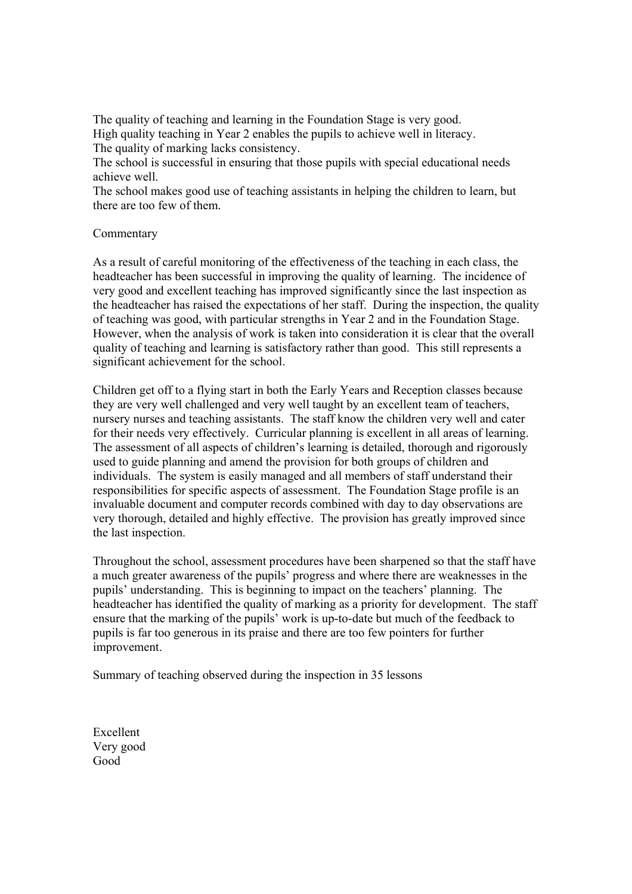The quality of teaching and learning in the Foundation Stage is very good. High quality teaching in Year 2 enables the pupils to achieve well in literacy. The quality of marking lacks consistency.

The school is successful in ensuring that those pupils with special educational needs achieve well.

The school makes good use of teaching assistants in helping the children to learn, but there are too few of them.

### Commentary

As a result of careful monitoring of the effectiveness of the teaching in each class, the headteacher has been successful in improving the quality of learning. The incidence of very good and excellent teaching has improved significantly since the last inspection as the headteacher has raised the expectations of her staff. During the inspection, the quality of teaching was good, with particular strengths in Year 2 and in the Foundation Stage. However, when the analysis of work is taken into consideration it is clear that the overall quality of teaching and learning is satisfactory rather than good. This still represents a significant achievement for the school.

Children get off to a flying start in both the Early Years and Reception classes because they are very well challenged and very well taught by an excellent team of teachers, nursery nurses and teaching assistants. The staff know the children very well and cater for their needs very effectively. Curricular planning is excellent in all areas of learning. The assessment of all aspects of children's learning is detailed, thorough and rigorously used to guide planning and amend the provision for both groups of children and individuals. The system is easily managed and all members of staff understand their responsibilities for specific aspects of assessment. The Foundation Stage profile is an invaluable document and computer records combined with day to day observations are very thorough, detailed and highly effective. The provision has greatly improved since the last inspection.

Throughout the school, assessment procedures have been sharpened so that the staff have a much greater awareness of the pupils' progress and where there are weaknesses in the pupils' understanding. This is beginning to impact on the teachers' planning. The headteacher has identified the quality of marking as a priority for development. The staff ensure that the marking of the pupils' work is up-to-date but much of the feedback to pupils is far too generous in its praise and there are too few pointers for further improvement.

Summary of teaching observed during the inspection in 35 lessons

Excellent Very good Good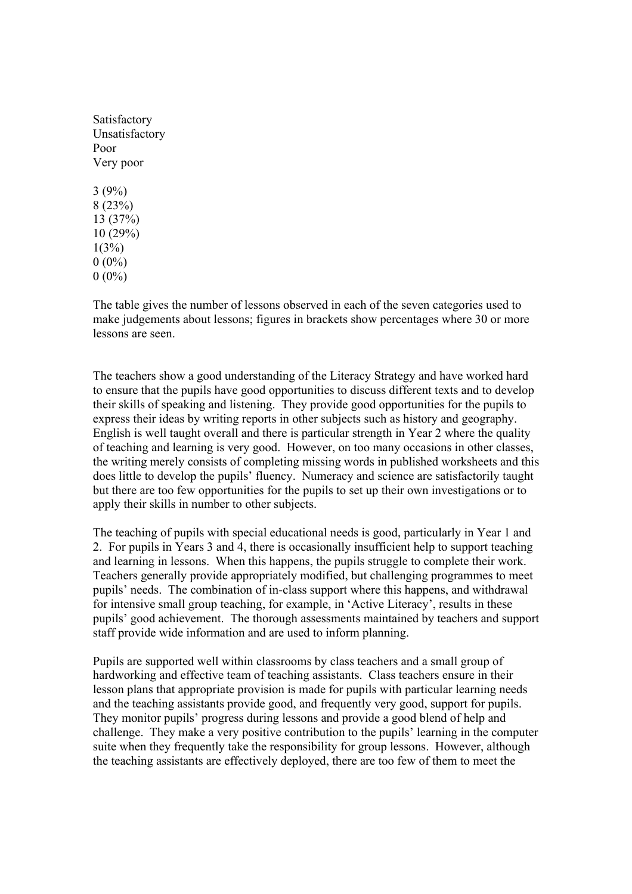The table gives the number of lessons observed in each of the seven categories used to make judgements about lessons; figures in brackets show percentages where 30 or more lessons are seen.

The teachers show a good understanding of the Literacy Strategy and have worked hard to ensure that the pupils have good opportunities to discuss different texts and to develop their skills of speaking and listening. They provide good opportunities for the pupils to express their ideas by writing reports in other subjects such as history and geography. English is well taught overall and there is particular strength in Year 2 where the quality of teaching and learning is very good. However, on too many occasions in other classes, the writing merely consists of completing missing words in published worksheets and this does little to develop the pupils' fluency. Numeracy and science are satisfactorily taught but there are too few opportunities for the pupils to set up their own investigations or to apply their skills in number to other subjects.

The teaching of pupils with special educational needs is good, particularly in Year 1 and 2. For pupils in Years 3 and 4, there is occasionally insufficient help to support teaching and learning in lessons. When this happens, the pupils struggle to complete their work. Teachers generally provide appropriately modified, but challenging programmes to meet pupils' needs. The combination of in-class support where this happens, and withdrawal for intensive small group teaching, for example, in 'Active Literacy', results in these pupils' good achievement. The thorough assessments maintained by teachers and support staff provide wide information and are used to inform planning.

Pupils are supported well within classrooms by class teachers and a small group of hardworking and effective team of teaching assistants. Class teachers ensure in their lesson plans that appropriate provision is made for pupils with particular learning needs and the teaching assistants provide good, and frequently very good, support for pupils. They monitor pupils' progress during lessons and provide a good blend of help and challenge. They make a very positive contribution to the pupils' learning in the computer suite when they frequently take the responsibility for group lessons. However, although the teaching assistants are effectively deployed, there are too few of them to meet the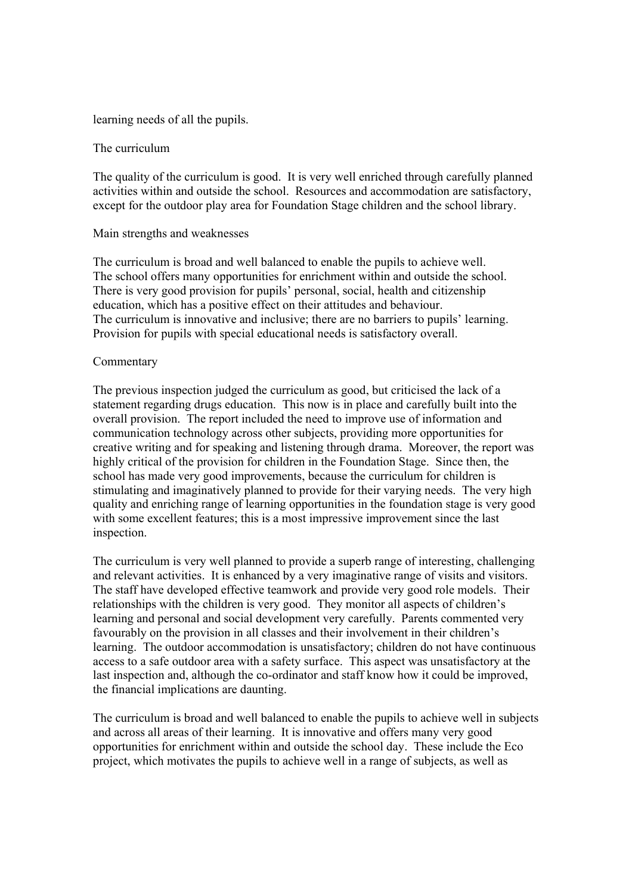## learning needs of all the pupils.

### The curriculum

The quality of the curriculum is good. It is very well enriched through carefully planned activities within and outside the school. Resources and accommodation are satisfactory, except for the outdoor play area for Foundation Stage children and the school library.

### Main strengths and weaknesses

The curriculum is broad and well balanced to enable the pupils to achieve well. The school offers many opportunities for enrichment within and outside the school. There is very good provision for pupils' personal, social, health and citizenship education, which has a positive effect on their attitudes and behaviour. The curriculum is innovative and inclusive; there are no barriers to pupils' learning. Provision for pupils with special educational needs is satisfactory overall.

### Commentary

The previous inspection judged the curriculum as good, but criticised the lack of a statement regarding drugs education. This now is in place and carefully built into the overall provision. The report included the need to improve use of information and communication technology across other subjects, providing more opportunities for creative writing and for speaking and listening through drama. Moreover, the report was highly critical of the provision for children in the Foundation Stage. Since then, the school has made very good improvements, because the curriculum for children is stimulating and imaginatively planned to provide for their varying needs. The very high quality and enriching range of learning opportunities in the foundation stage is very good with some excellent features; this is a most impressive improvement since the last inspection.

The curriculum is very well planned to provide a superb range of interesting, challenging and relevant activities. It is enhanced by a very imaginative range of visits and visitors. The staff have developed effective teamwork and provide very good role models. Their relationships with the children is very good. They monitor all aspects of children's learning and personal and social development very carefully. Parents commented very favourably on the provision in all classes and their involvement in their children's learning. The outdoor accommodation is unsatisfactory; children do not have continuous access to a safe outdoor area with a safety surface. This aspect was unsatisfactory at the last inspection and, although the co-ordinator and staff know how it could be improved, the financial implications are daunting.

The curriculum is broad and well balanced to enable the pupils to achieve well in subjects and across all areas of their learning. It is innovative and offers many very good opportunities for enrichment within and outside the school day. These include the Eco project, which motivates the pupils to achieve well in a range of subjects, as well as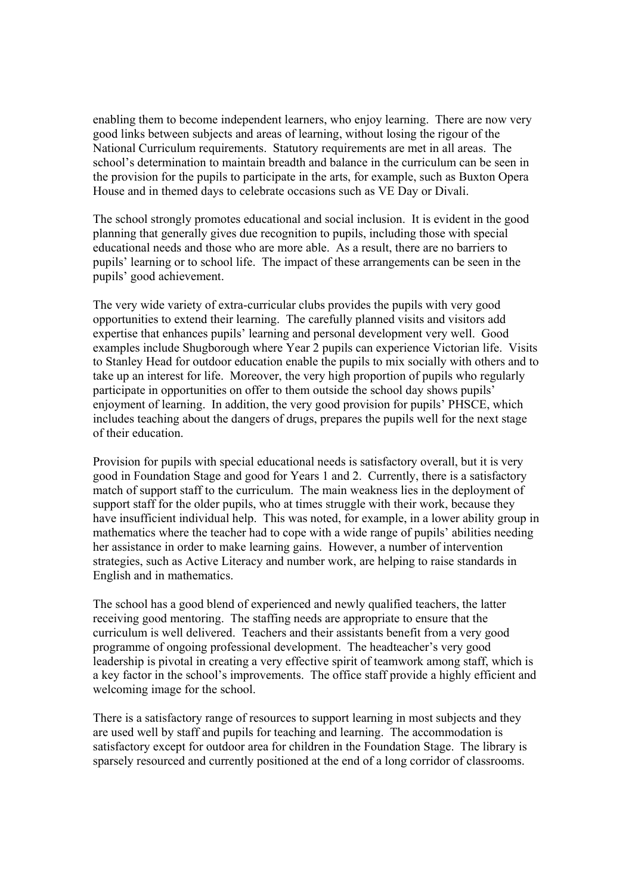enabling them to become independent learners, who enjoy learning. There are now very good links between subjects and areas of learning, without losing the rigour of the National Curriculum requirements. Statutory requirements are met in all areas. The school's determination to maintain breadth and balance in the curriculum can be seen in the provision for the pupils to participate in the arts, for example, such as Buxton Opera House and in themed days to celebrate occasions such as VE Day or Divali.

The school strongly promotes educational and social inclusion. It is evident in the good planning that generally gives due recognition to pupils, including those with special educational needs and those who are more able. As a result, there are no barriers to pupils' learning or to school life. The impact of these arrangements can be seen in the pupils' good achievement.

The very wide variety of extra-curricular clubs provides the pupils with very good opportunities to extend their learning. The carefully planned visits and visitors add expertise that enhances pupils' learning and personal development very well. Good examples include Shugborough where Year 2 pupils can experience Victorian life. Visits to Stanley Head for outdoor education enable the pupils to mix socially with others and to take up an interest for life. Moreover, the very high proportion of pupils who regularly participate in opportunities on offer to them outside the school day shows pupils' enjoyment of learning. In addition, the very good provision for pupils' PHSCE, which includes teaching about the dangers of drugs, prepares the pupils well for the next stage of their education.

Provision for pupils with special educational needs is satisfactory overall, but it is very good in Foundation Stage and good for Years 1 and 2. Currently, there is a satisfactory match of support staff to the curriculum. The main weakness lies in the deployment of support staff for the older pupils, who at times struggle with their work, because they have insufficient individual help. This was noted, for example, in a lower ability group in mathematics where the teacher had to cope with a wide range of pupils' abilities needing her assistance in order to make learning gains. However, a number of intervention strategies, such as Active Literacy and number work, are helping to raise standards in English and in mathematics.

The school has a good blend of experienced and newly qualified teachers, the latter receiving good mentoring. The staffing needs are appropriate to ensure that the curriculum is well delivered. Teachers and their assistants benefit from a very good programme of ongoing professional development. The headteacher's very good leadership is pivotal in creating a very effective spirit of teamwork among staff, which is a key factor in the school's improvements. The office staff provide a highly efficient and welcoming image for the school.

There is a satisfactory range of resources to support learning in most subjects and they are used well by staff and pupils for teaching and learning. The accommodation is satisfactory except for outdoor area for children in the Foundation Stage. The library is sparsely resourced and currently positioned at the end of a long corridor of classrooms.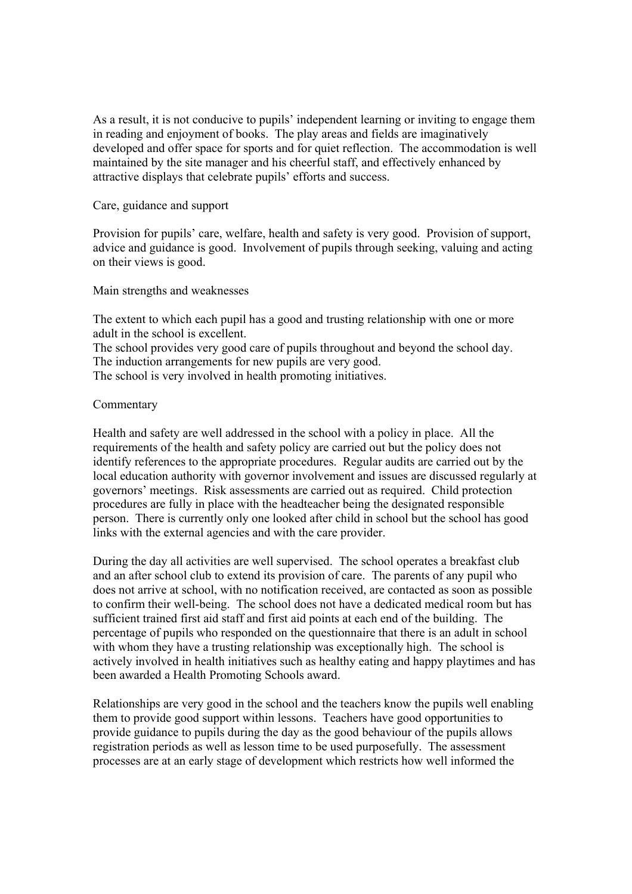As a result, it is not conducive to pupils' independent learning or inviting to engage them in reading and enjoyment of books. The play areas and fields are imaginatively developed and offer space for sports and for quiet reflection. The accommodation is well maintained by the site manager and his cheerful staff, and effectively enhanced by attractive displays that celebrate pupils' efforts and success.

Care, guidance and support

Provision for pupils' care, welfare, health and safety is very good. Provision of support, advice and guidance is good. Involvement of pupils through seeking, valuing and acting on their views is good.

Main strengths and weaknesses

The extent to which each pupil has a good and trusting relationship with one or more adult in the school is excellent.

The school provides very good care of pupils throughout and beyond the school day. The induction arrangements for new pupils are very good.

The school is very involved in health promoting initiatives.

# Commentary

Health and safety are well addressed in the school with a policy in place. All the requirements of the health and safety policy are carried out but the policy does not identify references to the appropriate procedures. Regular audits are carried out by the local education authority with governor involvement and issues are discussed regularly at governors' meetings. Risk assessments are carried out as required. Child protection procedures are fully in place with the headteacher being the designated responsible person. There is currently only one looked after child in school but the school has good links with the external agencies and with the care provider.

During the day all activities are well supervised. The school operates a breakfast club and an after school club to extend its provision of care. The parents of any pupil who does not arrive at school, with no notification received, are contacted as soon as possible to confirm their well-being. The school does not have a dedicated medical room but has sufficient trained first aid staff and first aid points at each end of the building. The percentage of pupils who responded on the questionnaire that there is an adult in school with whom they have a trusting relationship was exceptionally high. The school is actively involved in health initiatives such as healthy eating and happy playtimes and has been awarded a Health Promoting Schools award.

Relationships are very good in the school and the teachers know the pupils well enabling them to provide good support within lessons. Teachers have good opportunities to provide guidance to pupils during the day as the good behaviour of the pupils allows registration periods as well as lesson time to be used purposefully. The assessment processes are at an early stage of development which restricts how well informed the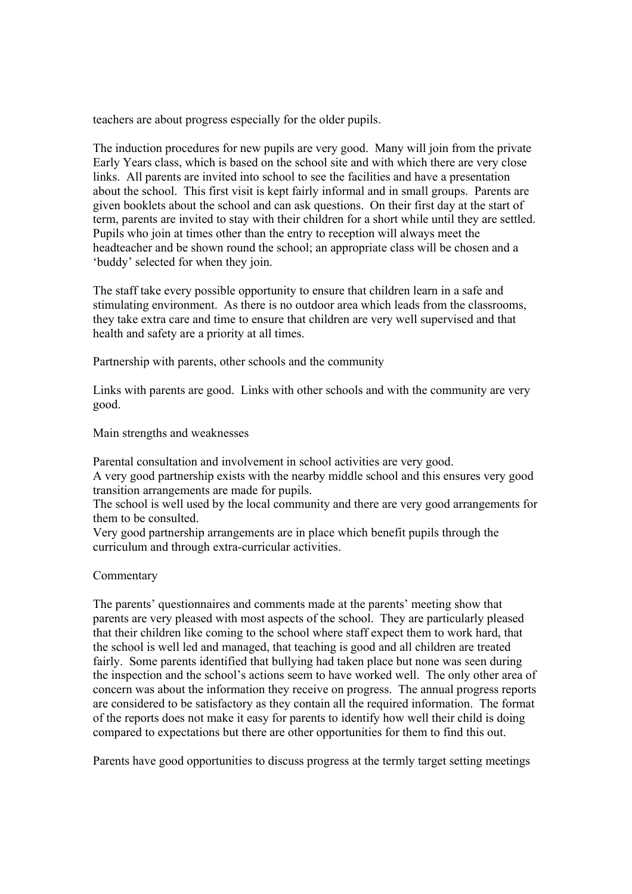teachers are about progress especially for the older pupils.

The induction procedures for new pupils are very good. Many will join from the private Early Years class, which is based on the school site and with which there are very close links. All parents are invited into school to see the facilities and have a presentation about the school. This first visit is kept fairly informal and in small groups. Parents are given booklets about the school and can ask questions. On their first day at the start of term, parents are invited to stay with their children for a short while until they are settled. Pupils who join at times other than the entry to reception will always meet the headteacher and be shown round the school; an appropriate class will be chosen and a 'buddy' selected for when they join.

The staff take every possible opportunity to ensure that children learn in a safe and stimulating environment. As there is no outdoor area which leads from the classrooms, they take extra care and time to ensure that children are very well supervised and that health and safety are a priority at all times.

Partnership with parents, other schools and the community

Links with parents are good. Links with other schools and with the community are very good.

Main strengths and weaknesses

Parental consultation and involvement in school activities are very good.

A very good partnership exists with the nearby middle school and this ensures very good transition arrangements are made for pupils.

The school is well used by the local community and there are very good arrangements for them to be consulted.

Very good partnership arrangements are in place which benefit pupils through the curriculum and through extra-curricular activities.

### Commentary

The parents' questionnaires and comments made at the parents' meeting show that parents are very pleased with most aspects of the school. They are particularly pleased that their children like coming to the school where staff expect them to work hard, that the school is well led and managed, that teaching is good and all children are treated fairly. Some parents identified that bullying had taken place but none was seen during the inspection and the school's actions seem to have worked well. The only other area of concern was about the information they receive on progress. The annual progress reports are considered to be satisfactory as they contain all the required information. The format of the reports does not make it easy for parents to identify how well their child is doing compared to expectations but there are other opportunities for them to find this out.

Parents have good opportunities to discuss progress at the termly target setting meetings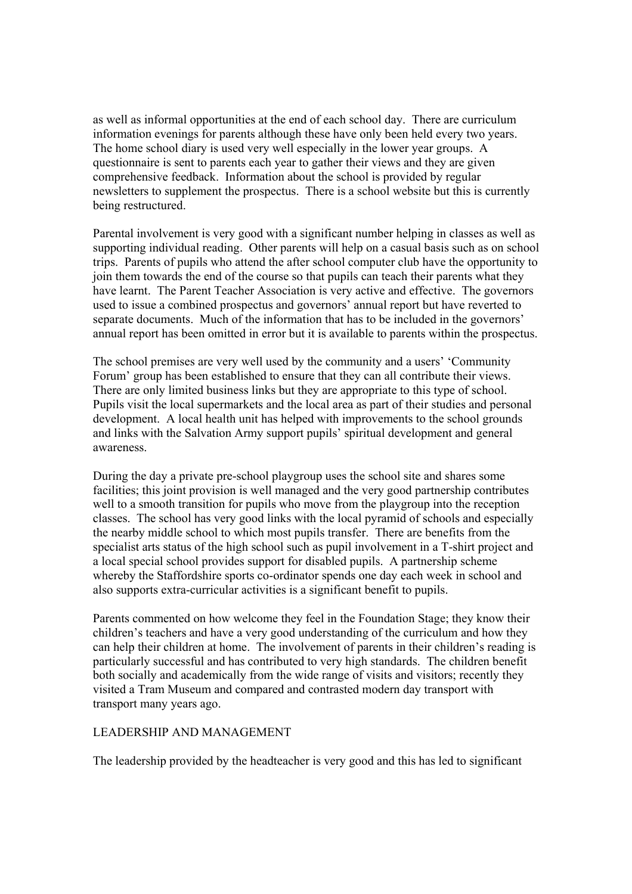as well as informal opportunities at the end of each school day. There are curriculum information evenings for parents although these have only been held every two years. The home school diary is used very well especially in the lower year groups. A questionnaire is sent to parents each year to gather their views and they are given comprehensive feedback. Information about the school is provided by regular newsletters to supplement the prospectus. There is a school website but this is currently being restructured.

Parental involvement is very good with a significant number helping in classes as well as supporting individual reading. Other parents will help on a casual basis such as on school trips. Parents of pupils who attend the after school computer club have the opportunity to join them towards the end of the course so that pupils can teach their parents what they have learnt. The Parent Teacher Association is very active and effective. The governors used to issue a combined prospectus and governors' annual report but have reverted to separate documents. Much of the information that has to be included in the governors' annual report has been omitted in error but it is available to parents within the prospectus.

The school premises are very well used by the community and a users' 'Community Forum' group has been established to ensure that they can all contribute their views. There are only limited business links but they are appropriate to this type of school. Pupils visit the local supermarkets and the local area as part of their studies and personal development. A local health unit has helped with improvements to the school grounds and links with the Salvation Army support pupils' spiritual development and general awareness.

During the day a private pre-school playgroup uses the school site and shares some facilities; this joint provision is well managed and the very good partnership contributes well to a smooth transition for pupils who move from the playgroup into the reception classes. The school has very good links with the local pyramid of schools and especially the nearby middle school to which most pupils transfer. There are benefits from the specialist arts status of the high school such as pupil involvement in a T-shirt project and a local special school provides support for disabled pupils. A partnership scheme whereby the Staffordshire sports co-ordinator spends one day each week in school and also supports extra-curricular activities is a significant benefit to pupils.

Parents commented on how welcome they feel in the Foundation Stage; they know their children's teachers and have a very good understanding of the curriculum and how they can help their children at home. The involvement of parents in their children's reading is particularly successful and has contributed to very high standards. The children benefit both socially and academically from the wide range of visits and visitors; recently they visited a Tram Museum and compared and contrasted modern day transport with transport many years ago.

# LEADERSHIP AND MANAGEMENT

The leadership provided by the headteacher is very good and this has led to significant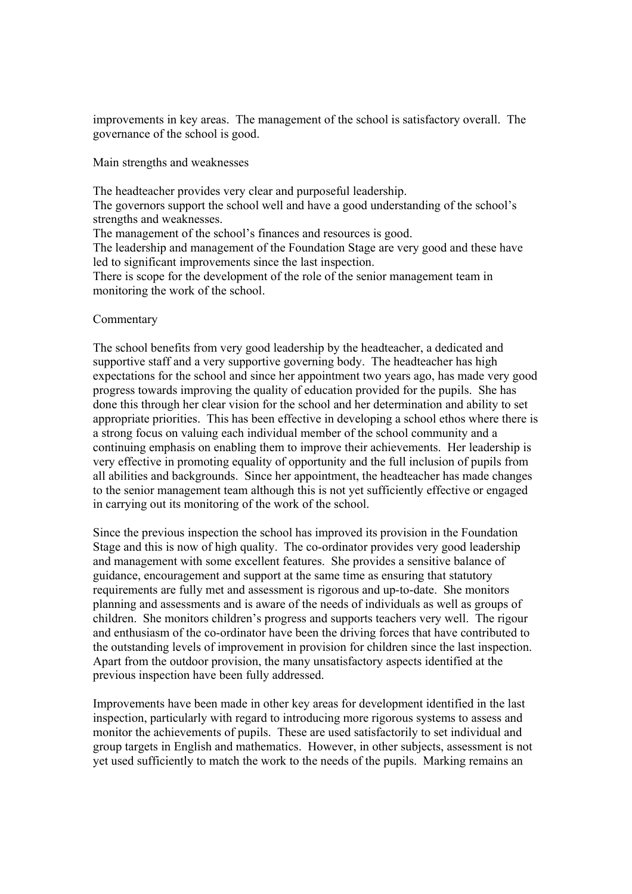improvements in key areas. The management of the school is satisfactory overall. The governance of the school is good.

Main strengths and weaknesses

The headteacher provides very clear and purposeful leadership. The governors support the school well and have a good understanding of the school's strengths and weaknesses. The management of the school's finances and resources is good. The leadership and management of the Foundation Stage are very good and these have led to significant improvements since the last inspection. There is scope for the development of the role of the senior management team in monitoring the work of the school.

# Commentary

The school benefits from very good leadership by the headteacher, a dedicated and supportive staff and a very supportive governing body. The headteacher has high expectations for the school and since her appointment two years ago, has made very good progress towards improving the quality of education provided for the pupils. She has done this through her clear vision for the school and her determination and ability to set appropriate priorities. This has been effective in developing a school ethos where there is a strong focus on valuing each individual member of the school community and a continuing emphasis on enabling them to improve their achievements. Her leadership is very effective in promoting equality of opportunity and the full inclusion of pupils from all abilities and backgrounds. Since her appointment, the headteacher has made changes to the senior management team although this is not yet sufficiently effective or engaged in carrying out its monitoring of the work of the school.

Since the previous inspection the school has improved its provision in the Foundation Stage and this is now of high quality. The co-ordinator provides very good leadership and management with some excellent features. She provides a sensitive balance of guidance, encouragement and support at the same time as ensuring that statutory requirements are fully met and assessment is rigorous and up-to-date. She monitors planning and assessments and is aware of the needs of individuals as well as groups of children. She monitors children's progress and supports teachers very well. The rigour and enthusiasm of the co-ordinator have been the driving forces that have contributed to the outstanding levels of improvement in provision for children since the last inspection. Apart from the outdoor provision, the many unsatisfactory aspects identified at the previous inspection have been fully addressed.

Improvements have been made in other key areas for development identified in the last inspection, particularly with regard to introducing more rigorous systems to assess and monitor the achievements of pupils. These are used satisfactorily to set individual and group targets in English and mathematics. However, in other subjects, assessment is not yet used sufficiently to match the work to the needs of the pupils. Marking remains an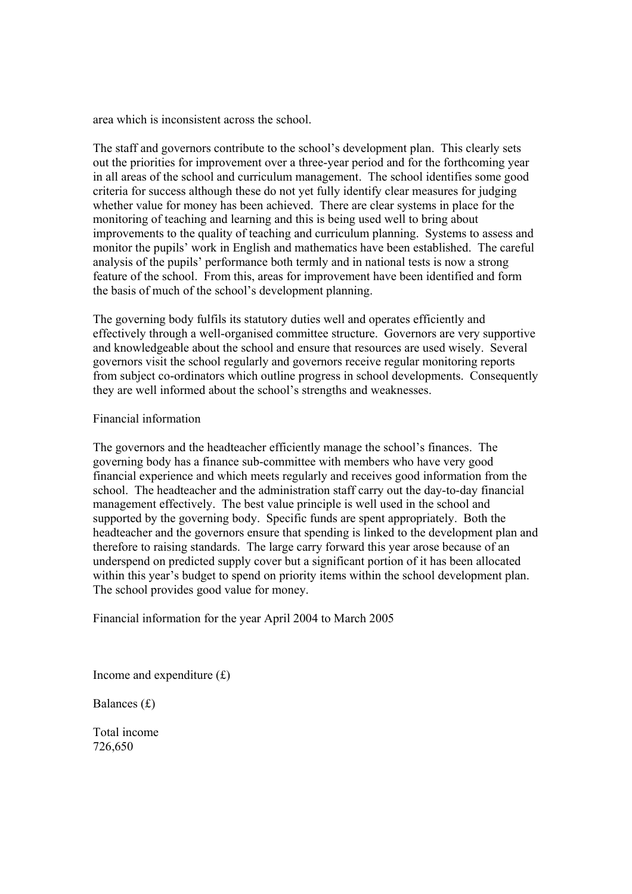area which is inconsistent across the school.

The staff and governors contribute to the school's development plan. This clearly sets out the priorities for improvement over a three-year period and for the forthcoming year in all areas of the school and curriculum management. The school identifies some good criteria for success although these do not yet fully identify clear measures for judging whether value for money has been achieved. There are clear systems in place for the monitoring of teaching and learning and this is being used well to bring about improvements to the quality of teaching and curriculum planning. Systems to assess and monitor the pupils' work in English and mathematics have been established. The careful analysis of the pupils' performance both termly and in national tests is now a strong feature of the school. From this, areas for improvement have been identified and form the basis of much of the school's development planning.

The governing body fulfils its statutory duties well and operates efficiently and effectively through a well-organised committee structure. Governors are very supportive and knowledgeable about the school and ensure that resources are used wisely. Several governors visit the school regularly and governors receive regular monitoring reports from subject co-ordinators which outline progress in school developments. Consequently they are well informed about the school's strengths and weaknesses.

### Financial information

The governors and the headteacher efficiently manage the school's finances. The governing body has a finance sub-committee with members who have very good financial experience and which meets regularly and receives good information from the school. The headteacher and the administration staff carry out the day-to-day financial management effectively. The best value principle is well used in the school and supported by the governing body. Specific funds are spent appropriately. Both the headteacher and the governors ensure that spending is linked to the development plan and therefore to raising standards. The large carry forward this year arose because of an underspend on predicted supply cover but a significant portion of it has been allocated within this year's budget to spend on priority items within the school development plan. The school provides good value for money.

Financial information for the year April 2004 to March 2005

Income and expenditure  $(f)$ 

Balances (£)

Total income 726,650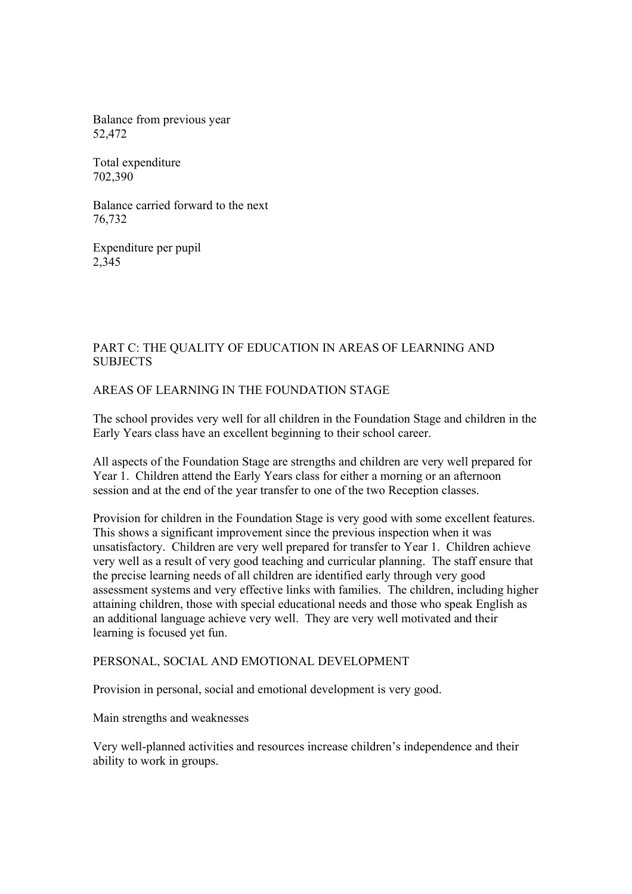Balance from previous year 52,472

Total expenditure 702,390

Balance carried forward to the next 76,732

Expenditure per pupil 2,345

# PART C: THE QUALITY OF EDUCATION IN AREAS OF LEARNING AND **SUBJECTS**

# AREAS OF LEARNING IN THE FOUNDATION STAGE

The school provides very well for all children in the Foundation Stage and children in the Early Years class have an excellent beginning to their school career.

All aspects of the Foundation Stage are strengths and children are very well prepared for Year 1. Children attend the Early Years class for either a morning or an afternoon session and at the end of the year transfer to one of the two Reception classes.

Provision for children in the Foundation Stage is very good with some excellent features. This shows a significant improvement since the previous inspection when it was unsatisfactory. Children are very well prepared for transfer to Year 1. Children achieve very well as a result of very good teaching and curricular planning. The staff ensure that the precise learning needs of all children are identified early through very good assessment systems and very effective links with families. The children, including higher attaining children, those with special educational needs and those who speak English as an additional language achieve very well. They are very well motivated and their learning is focused yet fun.

# PERSONAL, SOCIAL AND EMOTIONAL DEVELOPMENT

Provision in personal, social and emotional development is very good.

Main strengths and weaknesses

Very well-planned activities and resources increase children's independence and their ability to work in groups.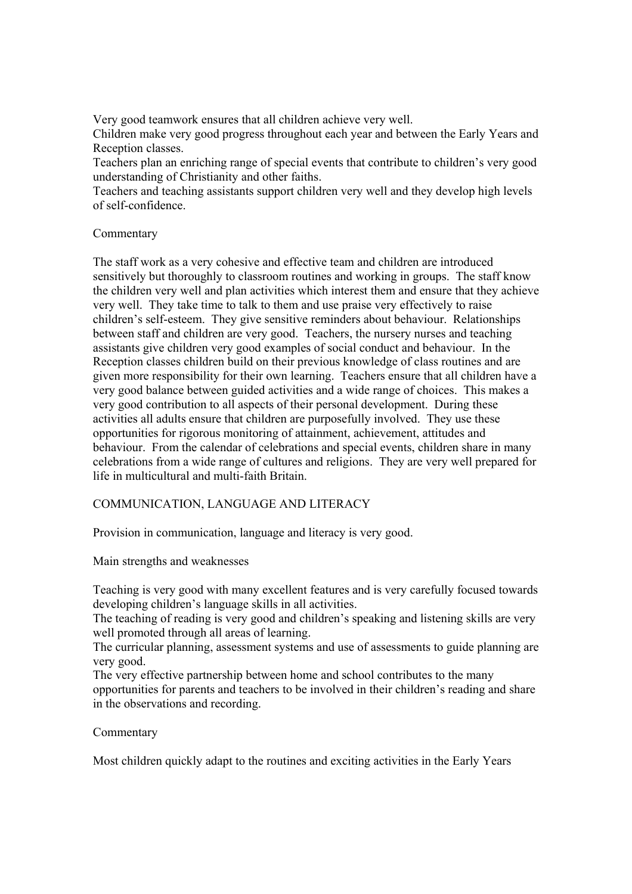Very good teamwork ensures that all children achieve very well.

Children make very good progress throughout each year and between the Early Years and Reception classes.

Teachers plan an enriching range of special events that contribute to children's very good understanding of Christianity and other faiths.

Teachers and teaching assistants support children very well and they develop high levels of self-confidence.

# **Commentary**

The staff work as a very cohesive and effective team and children are introduced sensitively but thoroughly to classroom routines and working in groups. The staff know the children very well and plan activities which interest them and ensure that they achieve very well. They take time to talk to them and use praise very effectively to raise children's self-esteem. They give sensitive reminders about behaviour. Relationships between staff and children are very good. Teachers, the nursery nurses and teaching assistants give children very good examples of social conduct and behaviour. In the Reception classes children build on their previous knowledge of class routines and are given more responsibility for their own learning. Teachers ensure that all children have a very good balance between guided activities and a wide range of choices. This makes a very good contribution to all aspects of their personal development. During these activities all adults ensure that children are purposefully involved. They use these opportunities for rigorous monitoring of attainment, achievement, attitudes and behaviour. From the calendar of celebrations and special events, children share in many celebrations from a wide range of cultures and religions. They are very well prepared for life in multicultural and multi-faith Britain.

# COMMUNICATION, LANGUAGE AND LITERACY

Provision in communication, language and literacy is very good.

Main strengths and weaknesses

Teaching is very good with many excellent features and is very carefully focused towards developing children's language skills in all activities.

The teaching of reading is very good and children's speaking and listening skills are very well promoted through all areas of learning.

The curricular planning, assessment systems and use of assessments to guide planning are very good.

The very effective partnership between home and school contributes to the many opportunities for parents and teachers to be involved in their children's reading and share in the observations and recording.

# Commentary

Most children quickly adapt to the routines and exciting activities in the Early Years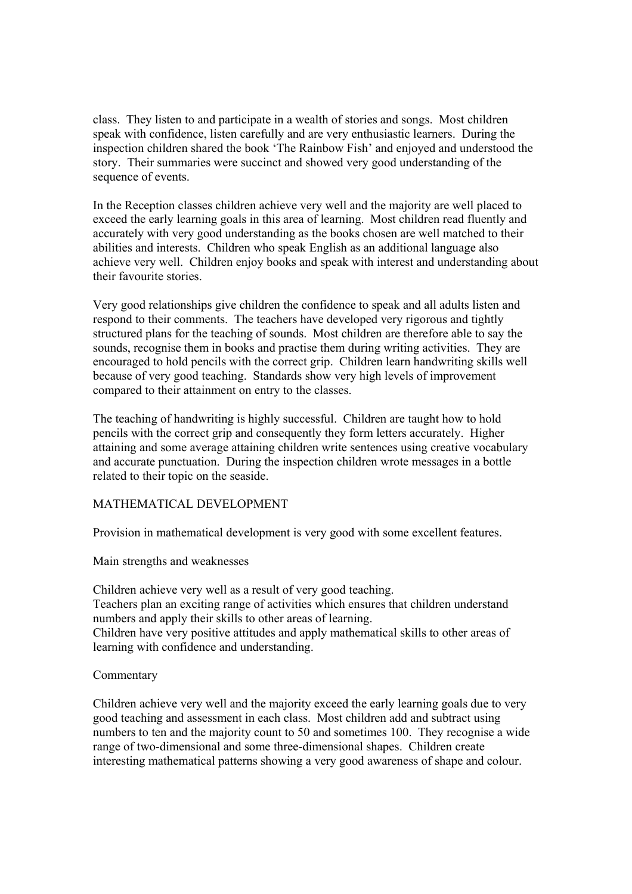class. They listen to and participate in a wealth of stories and songs. Most children speak with confidence, listen carefully and are very enthusiastic learners. During the inspection children shared the book 'The Rainbow Fish' and enjoyed and understood the story. Their summaries were succinct and showed very good understanding of the sequence of events.

In the Reception classes children achieve very well and the majority are well placed to exceed the early learning goals in this area of learning. Most children read fluently and accurately with very good understanding as the books chosen are well matched to their abilities and interests. Children who speak English as an additional language also achieve very well. Children enjoy books and speak with interest and understanding about their favourite stories.

Very good relationships give children the confidence to speak and all adults listen and respond to their comments. The teachers have developed very rigorous and tightly structured plans for the teaching of sounds. Most children are therefore able to say the sounds, recognise them in books and practise them during writing activities. They are encouraged to hold pencils with the correct grip. Children learn handwriting skills well because of very good teaching. Standards show very high levels of improvement compared to their attainment on entry to the classes.

The teaching of handwriting is highly successful. Children are taught how to hold pencils with the correct grip and consequently they form letters accurately. Higher attaining and some average attaining children write sentences using creative vocabulary and accurate punctuation. During the inspection children wrote messages in a bottle related to their topic on the seaside.

# MATHEMATICAL DEVELOPMENT

Provision in mathematical development is very good with some excellent features.

Main strengths and weaknesses

Children achieve very well as a result of very good teaching. Teachers plan an exciting range of activities which ensures that children understand numbers and apply their skills to other areas of learning. Children have very positive attitudes and apply mathematical skills to other areas of learning with confidence and understanding.

### Commentary

Children achieve very well and the majority exceed the early learning goals due to very good teaching and assessment in each class. Most children add and subtract using numbers to ten and the majority count to 50 and sometimes 100. They recognise a wide range of two-dimensional and some three-dimensional shapes. Children create interesting mathematical patterns showing a very good awareness of shape and colour.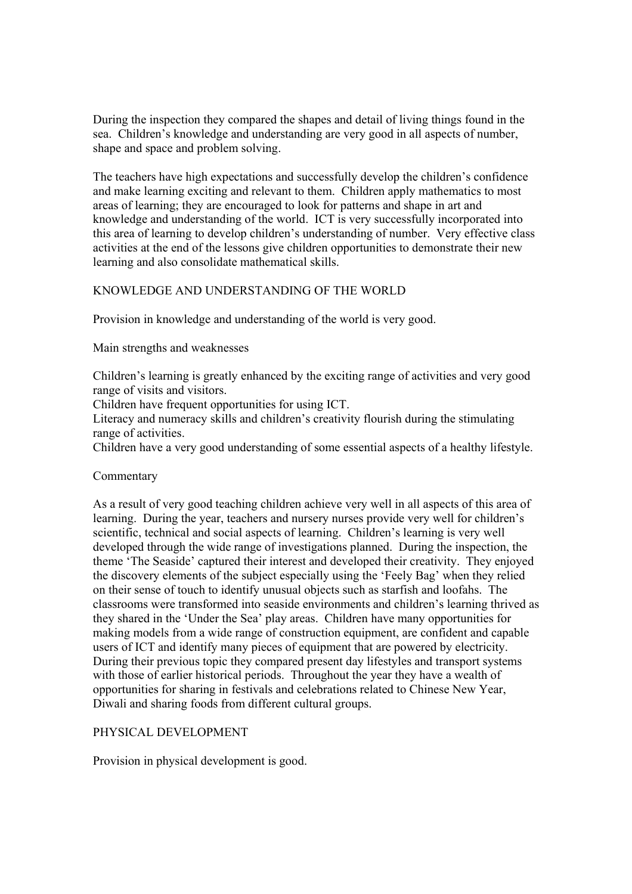During the inspection they compared the shapes and detail of living things found in the sea. Children's knowledge and understanding are very good in all aspects of number, shape and space and problem solving.

The teachers have high expectations and successfully develop the children's confidence and make learning exciting and relevant to them. Children apply mathematics to most areas of learning; they are encouraged to look for patterns and shape in art and knowledge and understanding of the world. ICT is very successfully incorporated into this area of learning to develop children's understanding of number. Very effective class activities at the end of the lessons give children opportunities to demonstrate their new learning and also consolidate mathematical skills.

# KNOWLEDGE AND UNDERSTANDING OF THE WORLD

Provision in knowledge and understanding of the world is very good.

Main strengths and weaknesses

Children's learning is greatly enhanced by the exciting range of activities and very good range of visits and visitors.

Children have frequent opportunities for using ICT.

Literacy and numeracy skills and children's creativity flourish during the stimulating range of activities.

Children have a very good understanding of some essential aspects of a healthy lifestyle.

# Commentary

As a result of very good teaching children achieve very well in all aspects of this area of learning. During the year, teachers and nursery nurses provide very well for children's scientific, technical and social aspects of learning. Children's learning is very well developed through the wide range of investigations planned. During the inspection, the theme 'The Seaside' captured their interest and developed their creativity. They enjoyed the discovery elements of the subject especially using the 'Feely Bag' when they relied on their sense of touch to identify unusual objects such as starfish and loofahs. The classrooms were transformed into seaside environments and children's learning thrived as they shared in the 'Under the Sea' play areas. Children have many opportunities for making models from a wide range of construction equipment, are confident and capable users of ICT and identify many pieces of equipment that are powered by electricity. During their previous topic they compared present day lifestyles and transport systems with those of earlier historical periods. Throughout the year they have a wealth of opportunities for sharing in festivals and celebrations related to Chinese New Year, Diwali and sharing foods from different cultural groups.

# PHYSICAL DEVELOPMENT

Provision in physical development is good.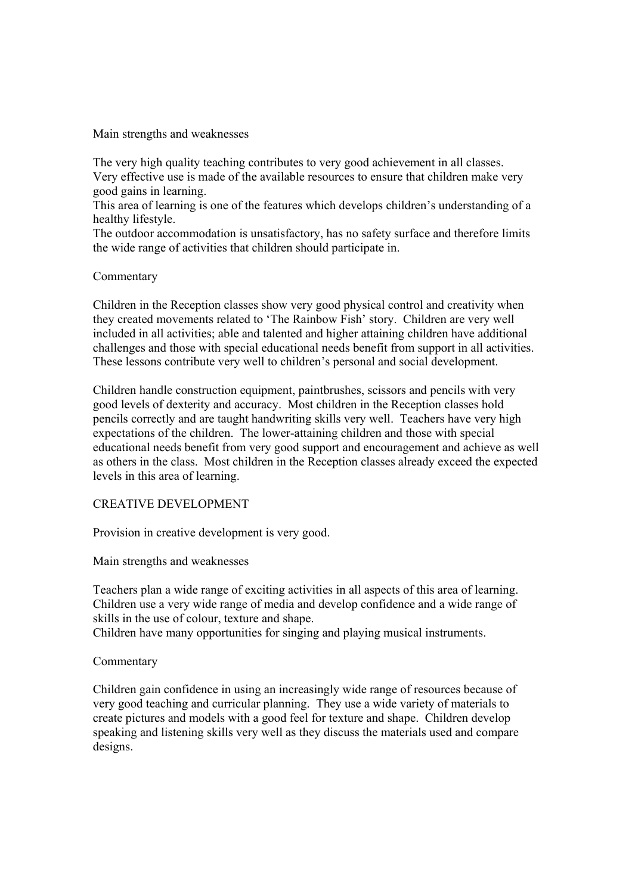Main strengths and weaknesses

The very high quality teaching contributes to very good achievement in all classes. Very effective use is made of the available resources to ensure that children make very good gains in learning.

This area of learning is one of the features which develops children's understanding of a healthy lifestyle.

The outdoor accommodation is unsatisfactory, has no safety surface and therefore limits the wide range of activities that children should participate in.

# Commentary

Children in the Reception classes show very good physical control and creativity when they created movements related to 'The Rainbow Fish' story. Children are very well included in all activities; able and talented and higher attaining children have additional challenges and those with special educational needs benefit from support in all activities. These lessons contribute very well to children's personal and social development.

Children handle construction equipment, paintbrushes, scissors and pencils with very good levels of dexterity and accuracy. Most children in the Reception classes hold pencils correctly and are taught handwriting skills very well. Teachers have very high expectations of the children. The lower-attaining children and those with special educational needs benefit from very good support and encouragement and achieve as well as others in the class. Most children in the Reception classes already exceed the expected levels in this area of learning.

### CREATIVE DEVELOPMENT

Provision in creative development is very good.

Main strengths and weaknesses

Teachers plan a wide range of exciting activities in all aspects of this area of learning. Children use a very wide range of media and develop confidence and a wide range of skills in the use of colour, texture and shape.

Children have many opportunities for singing and playing musical instruments.

### Commentary

Children gain confidence in using an increasingly wide range of resources because of very good teaching and curricular planning. They use a wide variety of materials to create pictures and models with a good feel for texture and shape. Children develop speaking and listening skills very well as they discuss the materials used and compare designs.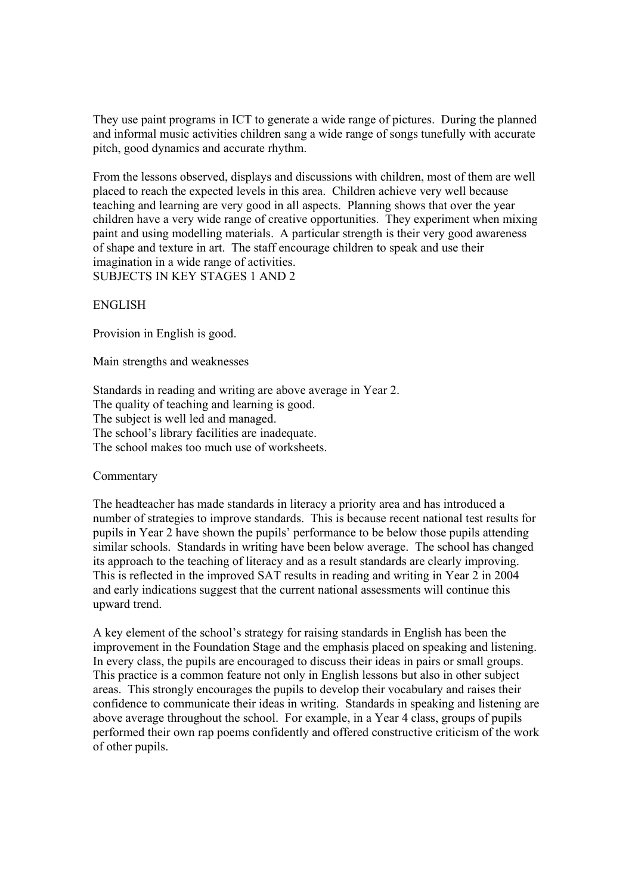They use paint programs in ICT to generate a wide range of pictures. During the planned and informal music activities children sang a wide range of songs tunefully with accurate pitch, good dynamics and accurate rhythm.

From the lessons observed, displays and discussions with children, most of them are well placed to reach the expected levels in this area. Children achieve very well because teaching and learning are very good in all aspects. Planning shows that over the year children have a very wide range of creative opportunities. They experiment when mixing paint and using modelling materials. A particular strength is their very good awareness of shape and texture in art. The staff encourage children to speak and use their imagination in a wide range of activities. SUBJECTS IN KEY STAGES 1 AND 2

### ENGLISH

Provision in English is good.

Main strengths and weaknesses

Standards in reading and writing are above average in Year 2. The quality of teaching and learning is good. The subject is well led and managed. The school's library facilities are inadequate. The school makes too much use of worksheets.

### Commentary

The headteacher has made standards in literacy a priority area and has introduced a number of strategies to improve standards. This is because recent national test results for pupils in Year 2 have shown the pupils' performance to be below those pupils attending similar schools. Standards in writing have been below average. The school has changed its approach to the teaching of literacy and as a result standards are clearly improving. This is reflected in the improved SAT results in reading and writing in Year 2 in 2004 and early indications suggest that the current national assessments will continue this upward trend.

A key element of the school's strategy for raising standards in English has been the improvement in the Foundation Stage and the emphasis placed on speaking and listening. In every class, the pupils are encouraged to discuss their ideas in pairs or small groups. This practice is a common feature not only in English lessons but also in other subject areas. This strongly encourages the pupils to develop their vocabulary and raises their confidence to communicate their ideas in writing. Standards in speaking and listening are above average throughout the school. For example, in a Year 4 class, groups of pupils performed their own rap poems confidently and offered constructive criticism of the work of other pupils.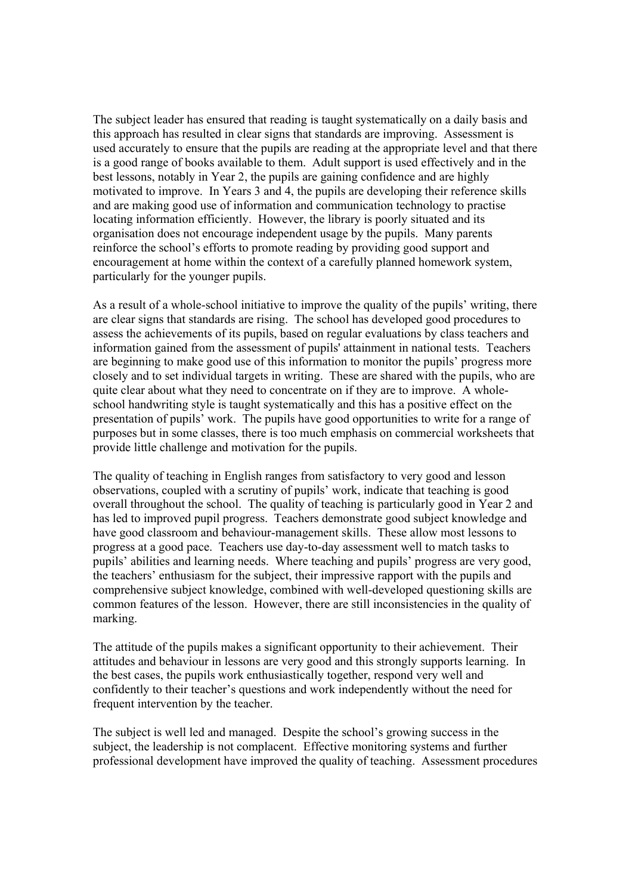The subject leader has ensured that reading is taught systematically on a daily basis and this approach has resulted in clear signs that standards are improving. Assessment is used accurately to ensure that the pupils are reading at the appropriate level and that there is a good range of books available to them. Adult support is used effectively and in the best lessons, notably in Year 2, the pupils are gaining confidence and are highly motivated to improve. In Years 3 and 4, the pupils are developing their reference skills and are making good use of information and communication technology to practise locating information efficiently. However, the library is poorly situated and its organisation does not encourage independent usage by the pupils. Many parents reinforce the school's efforts to promote reading by providing good support and encouragement at home within the context of a carefully planned homework system, particularly for the younger pupils.

As a result of a whole-school initiative to improve the quality of the pupils' writing, there are clear signs that standards are rising. The school has developed good procedures to assess the achievements of its pupils, based on regular evaluations by class teachers and information gained from the assessment of pupils' attainment in national tests. Teachers are beginning to make good use of this information to monitor the pupils' progress more closely and to set individual targets in writing. These are shared with the pupils, who are quite clear about what they need to concentrate on if they are to improve. A wholeschool handwriting style is taught systematically and this has a positive effect on the presentation of pupils' work. The pupils have good opportunities to write for a range of purposes but in some classes, there is too much emphasis on commercial worksheets that provide little challenge and motivation for the pupils.

The quality of teaching in English ranges from satisfactory to very good and lesson observations, coupled with a scrutiny of pupils' work, indicate that teaching is good overall throughout the school. The quality of teaching is particularly good in Year 2 and has led to improved pupil progress. Teachers demonstrate good subject knowledge and have good classroom and behaviour-management skills. These allow most lessons to progress at a good pace. Teachers use day-to-day assessment well to match tasks to pupils' abilities and learning needs. Where teaching and pupils' progress are very good, the teachers' enthusiasm for the subject, their impressive rapport with the pupils and comprehensive subject knowledge, combined with well-developed questioning skills are common features of the lesson. However, there are still inconsistencies in the quality of marking.

The attitude of the pupils makes a significant opportunity to their achievement. Their attitudes and behaviour in lessons are very good and this strongly supports learning. In the best cases, the pupils work enthusiastically together, respond very well and confidently to their teacher's questions and work independently without the need for frequent intervention by the teacher.

The subject is well led and managed. Despite the school's growing success in the subject, the leadership is not complacent. Effective monitoring systems and further professional development have improved the quality of teaching. Assessment procedures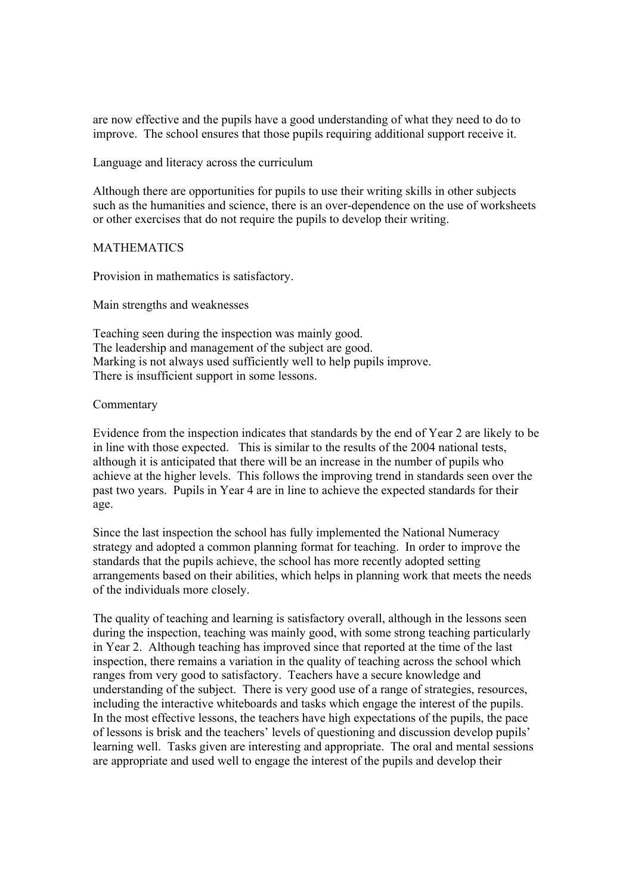are now effective and the pupils have a good understanding of what they need to do to improve. The school ensures that those pupils requiring additional support receive it.

Language and literacy across the curriculum

Although there are opportunities for pupils to use their writing skills in other subjects such as the humanities and science, there is an over-dependence on the use of worksheets or other exercises that do not require the pupils to develop their writing.

#### MATHEMATICS

Provision in mathematics is satisfactory.

Main strengths and weaknesses

Teaching seen during the inspection was mainly good. The leadership and management of the subject are good. Marking is not always used sufficiently well to help pupils improve. There is insufficient support in some lessons.

### Commentary

Evidence from the inspection indicates that standards by the end of Year 2 are likely to be in line with those expected. This is similar to the results of the 2004 national tests, although it is anticipated that there will be an increase in the number of pupils who achieve at the higher levels. This follows the improving trend in standards seen over the past two years. Pupils in Year 4 are in line to achieve the expected standards for their age.

Since the last inspection the school has fully implemented the National Numeracy strategy and adopted a common planning format for teaching. In order to improve the standards that the pupils achieve, the school has more recently adopted setting arrangements based on their abilities, which helps in planning work that meets the needs of the individuals more closely.

The quality of teaching and learning is satisfactory overall, although in the lessons seen during the inspection, teaching was mainly good, with some strong teaching particularly in Year 2. Although teaching has improved since that reported at the time of the last inspection, there remains a variation in the quality of teaching across the school which ranges from very good to satisfactory. Teachers have a secure knowledge and understanding of the subject. There is very good use of a range of strategies, resources, including the interactive whiteboards and tasks which engage the interest of the pupils. In the most effective lessons, the teachers have high expectations of the pupils, the pace of lessons is brisk and the teachers' levels of questioning and discussion develop pupils' learning well. Tasks given are interesting and appropriate. The oral and mental sessions are appropriate and used well to engage the interest of the pupils and develop their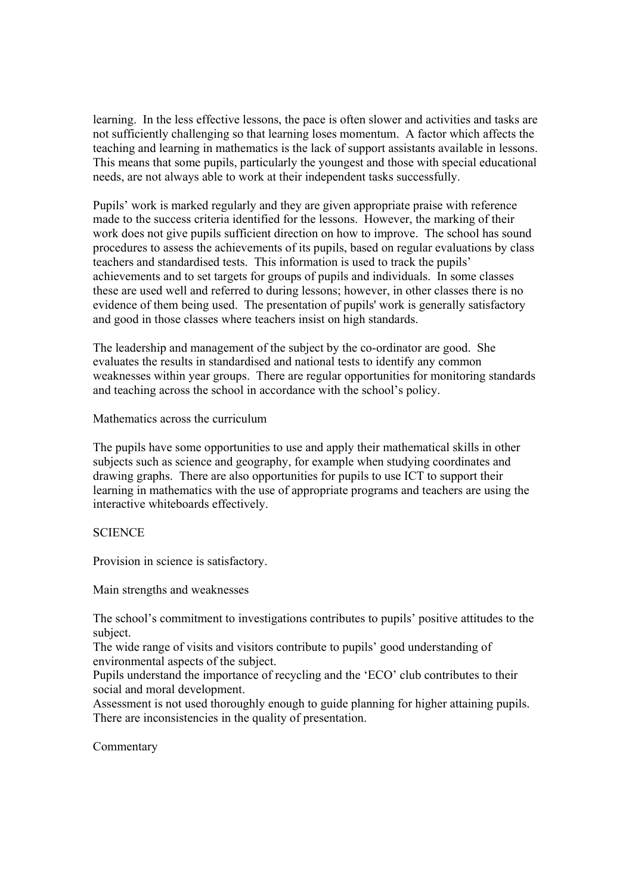learning. In the less effective lessons, the pace is often slower and activities and tasks are not sufficiently challenging so that learning loses momentum. A factor which affects the teaching and learning in mathematics is the lack of support assistants available in lessons. This means that some pupils, particularly the youngest and those with special educational needs, are not always able to work at their independent tasks successfully.

Pupils' work is marked regularly and they are given appropriate praise with reference made to the success criteria identified for the lessons. However, the marking of their work does not give pupils sufficient direction on how to improve. The school has sound procedures to assess the achievements of its pupils, based on regular evaluations by class teachers and standardised tests. This information is used to track the pupils' achievements and to set targets for groups of pupils and individuals. In some classes these are used well and referred to during lessons; however, in other classes there is no evidence of them being used. The presentation of pupils' work is generally satisfactory and good in those classes where teachers insist on high standards.

The leadership and management of the subject by the co-ordinator are good. She evaluates the results in standardised and national tests to identify any common weaknesses within year groups. There are regular opportunities for monitoring standards and teaching across the school in accordance with the school's policy.

Mathematics across the curriculum

The pupils have some opportunities to use and apply their mathematical skills in other subjects such as science and geography, for example when studying coordinates and drawing graphs. There are also opportunities for pupils to use ICT to support their learning in mathematics with the use of appropriate programs and teachers are using the interactive whiteboards effectively.

# **SCIENCE**

Provision in science is satisfactory.

Main strengths and weaknesses

The school's commitment to investigations contributes to pupils' positive attitudes to the subject.

The wide range of visits and visitors contribute to pupils' good understanding of environmental aspects of the subject.

Pupils understand the importance of recycling and the 'ECO' club contributes to their social and moral development.

Assessment is not used thoroughly enough to guide planning for higher attaining pupils. There are inconsistencies in the quality of presentation.

Commentary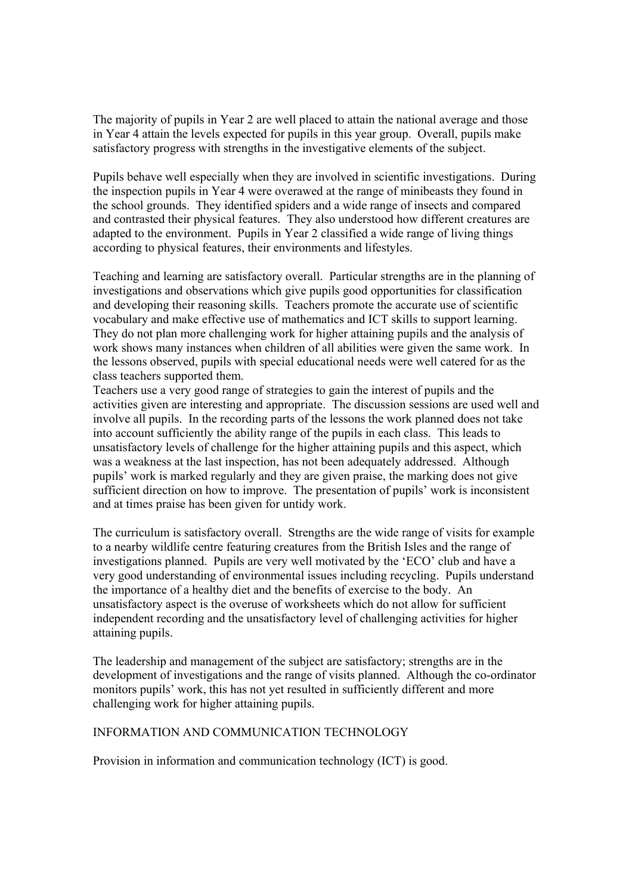The majority of pupils in Year 2 are well placed to attain the national average and those in Year 4 attain the levels expected for pupils in this year group. Overall, pupils make satisfactory progress with strengths in the investigative elements of the subject.

Pupils behave well especially when they are involved in scientific investigations. During the inspection pupils in Year 4 were overawed at the range of minibeasts they found in the school grounds. They identified spiders and a wide range of insects and compared and contrasted their physical features. They also understood how different creatures are adapted to the environment. Pupils in Year 2 classified a wide range of living things according to physical features, their environments and lifestyles.

Teaching and learning are satisfactory overall. Particular strengths are in the planning of investigations and observations which give pupils good opportunities for classification and developing their reasoning skills. Teachers promote the accurate use of scientific vocabulary and make effective use of mathematics and ICT skills to support learning. They do not plan more challenging work for higher attaining pupils and the analysis of work shows many instances when children of all abilities were given the same work. In the lessons observed, pupils with special educational needs were well catered for as the class teachers supported them.

Teachers use a very good range of strategies to gain the interest of pupils and the activities given are interesting and appropriate. The discussion sessions are used well and involve all pupils. In the recording parts of the lessons the work planned does not take into account sufficiently the ability range of the pupils in each class. This leads to unsatisfactory levels of challenge for the higher attaining pupils and this aspect, which was a weakness at the last inspection, has not been adequately addressed. Although pupils' work is marked regularly and they are given praise, the marking does not give sufficient direction on how to improve. The presentation of pupils' work is inconsistent and at times praise has been given for untidy work.

The curriculum is satisfactory overall. Strengths are the wide range of visits for example to a nearby wildlife centre featuring creatures from the British Isles and the range of investigations planned. Pupils are very well motivated by the 'ECO' club and have a very good understanding of environmental issues including recycling. Pupils understand the importance of a healthy diet and the benefits of exercise to the body. An unsatisfactory aspect is the overuse of worksheets which do not allow for sufficient independent recording and the unsatisfactory level of challenging activities for higher attaining pupils.

The leadership and management of the subject are satisfactory; strengths are in the development of investigations and the range of visits planned. Although the co-ordinator monitors pupils' work, this has not yet resulted in sufficiently different and more challenging work for higher attaining pupils.

# INFORMATION AND COMMUNICATION TECHNOLOGY

Provision in information and communication technology (ICT) is good.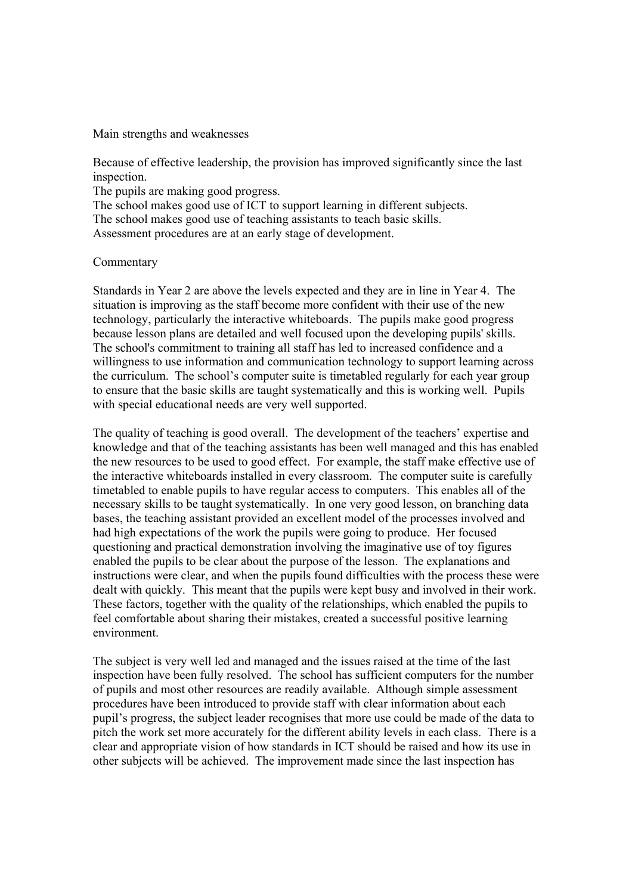Main strengths and weaknesses

Because of effective leadership, the provision has improved significantly since the last inspection.

The pupils are making good progress.

The school makes good use of ICT to support learning in different subjects. The school makes good use of teaching assistants to teach basic skills. Assessment procedures are at an early stage of development.

### Commentary

Standards in Year 2 are above the levels expected and they are in line in Year 4. The situation is improving as the staff become more confident with their use of the new technology, particularly the interactive whiteboards. The pupils make good progress because lesson plans are detailed and well focused upon the developing pupils' skills. The school's commitment to training all staff has led to increased confidence and a willingness to use information and communication technology to support learning across the curriculum. The school's computer suite is timetabled regularly for each year group to ensure that the basic skills are taught systematically and this is working well. Pupils with special educational needs are very well supported.

The quality of teaching is good overall. The development of the teachers' expertise and knowledge and that of the teaching assistants has been well managed and this has enabled the new resources to be used to good effect. For example, the staff make effective use of the interactive whiteboards installed in every classroom. The computer suite is carefully timetabled to enable pupils to have regular access to computers. This enables all of the necessary skills to be taught systematically. In one very good lesson, on branching data bases, the teaching assistant provided an excellent model of the processes involved and had high expectations of the work the pupils were going to produce. Her focused questioning and practical demonstration involving the imaginative use of toy figures enabled the pupils to be clear about the purpose of the lesson. The explanations and instructions were clear, and when the pupils found difficulties with the process these were dealt with quickly. This meant that the pupils were kept busy and involved in their work. These factors, together with the quality of the relationships, which enabled the pupils to feel comfortable about sharing their mistakes, created a successful positive learning environment.

The subject is very well led and managed and the issues raised at the time of the last inspection have been fully resolved. The school has sufficient computers for the number of pupils and most other resources are readily available. Although simple assessment procedures have been introduced to provide staff with clear information about each pupil's progress, the subject leader recognises that more use could be made of the data to pitch the work set more accurately for the different ability levels in each class. There is a clear and appropriate vision of how standards in ICT should be raised and how its use in other subjects will be achieved. The improvement made since the last inspection has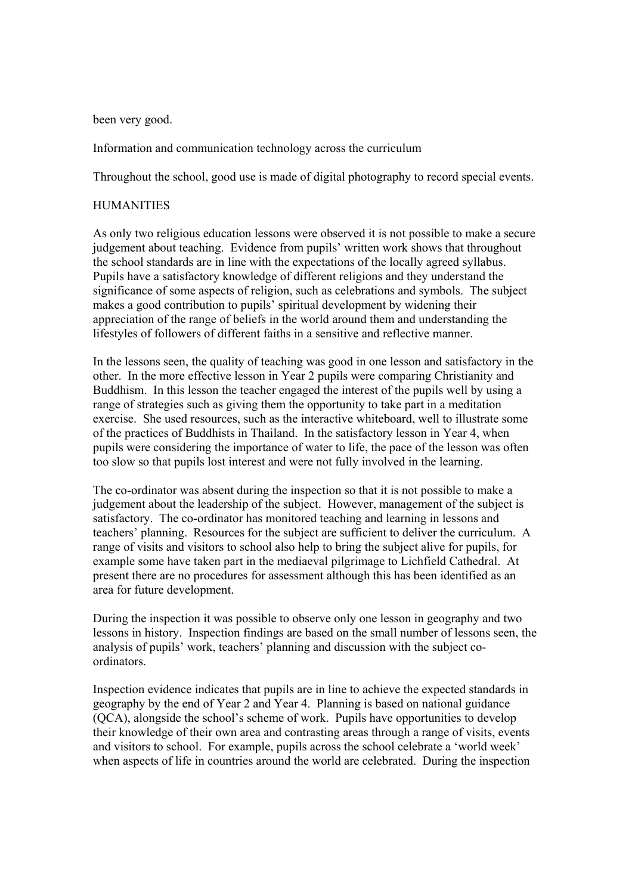been very good.

Information and communication technology across the curriculum

Throughout the school, good use is made of digital photography to record special events.

### **HUMANITIES**

As only two religious education lessons were observed it is not possible to make a secure judgement about teaching. Evidence from pupils' written work shows that throughout the school standards are in line with the expectations of the locally agreed syllabus. Pupils have a satisfactory knowledge of different religions and they understand the significance of some aspects of religion, such as celebrations and symbols. The subject makes a good contribution to pupils' spiritual development by widening their appreciation of the range of beliefs in the world around them and understanding the lifestyles of followers of different faiths in a sensitive and reflective manner.

In the lessons seen, the quality of teaching was good in one lesson and satisfactory in the other. In the more effective lesson in Year 2 pupils were comparing Christianity and Buddhism. In this lesson the teacher engaged the interest of the pupils well by using a range of strategies such as giving them the opportunity to take part in a meditation exercise. She used resources, such as the interactive whiteboard, well to illustrate some of the practices of Buddhists in Thailand. In the satisfactory lesson in Year 4, when pupils were considering the importance of water to life, the pace of the lesson was often too slow so that pupils lost interest and were not fully involved in the learning.

The co-ordinator was absent during the inspection so that it is not possible to make a judgement about the leadership of the subject. However, management of the subject is satisfactory. The co-ordinator has monitored teaching and learning in lessons and teachers' planning. Resources for the subject are sufficient to deliver the curriculum. A range of visits and visitors to school also help to bring the subject alive for pupils, for example some have taken part in the mediaeval pilgrimage to Lichfield Cathedral. At present there are no procedures for assessment although this has been identified as an area for future development.

During the inspection it was possible to observe only one lesson in geography and two lessons in history. Inspection findings are based on the small number of lessons seen, the analysis of pupils' work, teachers' planning and discussion with the subject coordinators.

Inspection evidence indicates that pupils are in line to achieve the expected standards in geography by the end of Year 2 and Year 4. Planning is based on national guidance (QCA), alongside the school's scheme of work. Pupils have opportunities to develop their knowledge of their own area and contrasting areas through a range of visits, events and visitors to school. For example, pupils across the school celebrate a 'world week' when aspects of life in countries around the world are celebrated. During the inspection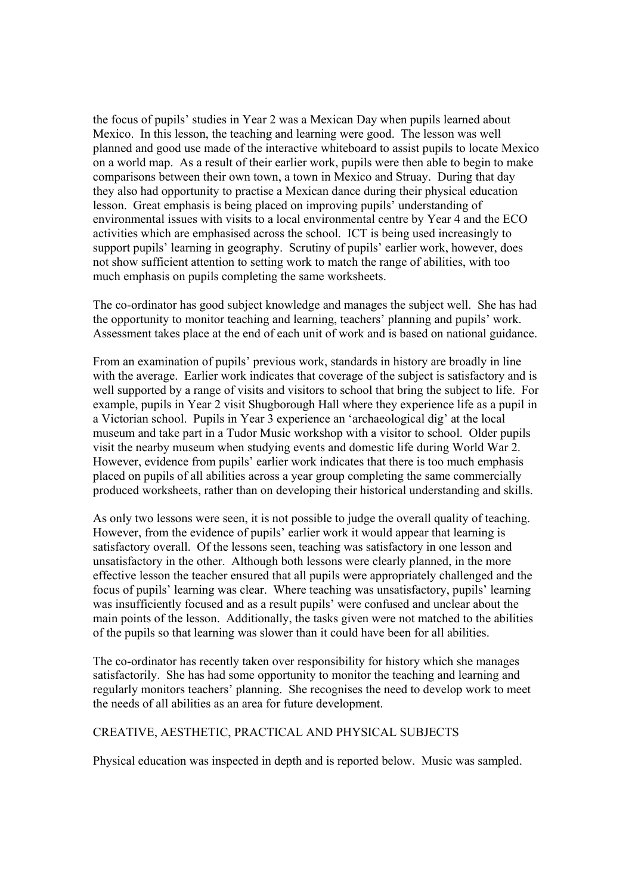the focus of pupils' studies in Year 2 was a Mexican Day when pupils learned about Mexico. In this lesson, the teaching and learning were good. The lesson was well planned and good use made of the interactive whiteboard to assist pupils to locate Mexico on a world map. As a result of their earlier work, pupils were then able to begin to make comparisons between their own town, a town in Mexico and Struay. During that day they also had opportunity to practise a Mexican dance during their physical education lesson. Great emphasis is being placed on improving pupils' understanding of environmental issues with visits to a local environmental centre by Year 4 and the ECO activities which are emphasised across the school. ICT is being used increasingly to support pupils' learning in geography. Scrutiny of pupils' earlier work, however, does not show sufficient attention to setting work to match the range of abilities, with too much emphasis on pupils completing the same worksheets.

The co-ordinator has good subject knowledge and manages the subject well. She has had the opportunity to monitor teaching and learning, teachers' planning and pupils' work. Assessment takes place at the end of each unit of work and is based on national guidance.

From an examination of pupils' previous work, standards in history are broadly in line with the average. Earlier work indicates that coverage of the subject is satisfactory and is well supported by a range of visits and visitors to school that bring the subject to life. For example, pupils in Year 2 visit Shugborough Hall where they experience life as a pupil in a Victorian school. Pupils in Year 3 experience an 'archaeological dig' at the local museum and take part in a Tudor Music workshop with a visitor to school. Older pupils visit the nearby museum when studying events and domestic life during World War 2. However, evidence from pupils' earlier work indicates that there is too much emphasis placed on pupils of all abilities across a year group completing the same commercially produced worksheets, rather than on developing their historical understanding and skills.

As only two lessons were seen, it is not possible to judge the overall quality of teaching. However, from the evidence of pupils' earlier work it would appear that learning is satisfactory overall. Of the lessons seen, teaching was satisfactory in one lesson and unsatisfactory in the other. Although both lessons were clearly planned, in the more effective lesson the teacher ensured that all pupils were appropriately challenged and the focus of pupils' learning was clear. Where teaching was unsatisfactory, pupils' learning was insufficiently focused and as a result pupils' were confused and unclear about the main points of the lesson. Additionally, the tasks given were not matched to the abilities of the pupils so that learning was slower than it could have been for all abilities.

The co-ordinator has recently taken over responsibility for history which she manages satisfactorily. She has had some opportunity to monitor the teaching and learning and regularly monitors teachers' planning. She recognises the need to develop work to meet the needs of all abilities as an area for future development.

# CREATIVE, AESTHETIC, PRACTICAL AND PHYSICAL SUBJECTS

Physical education was inspected in depth and is reported below. Music was sampled.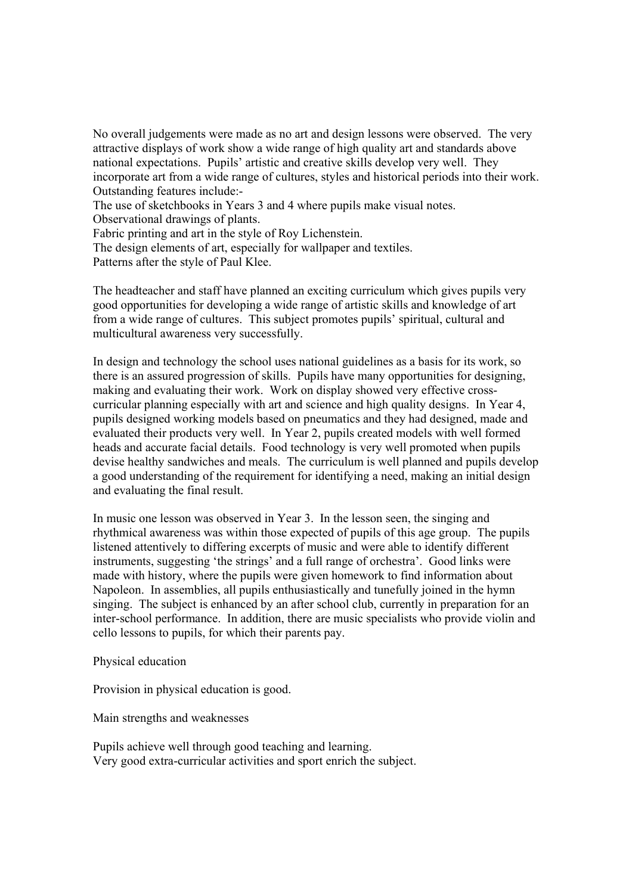No overall judgements were made as no art and design lessons were observed. The very attractive displays of work show a wide range of high quality art and standards above national expectations. Pupils' artistic and creative skills develop very well. They incorporate art from a wide range of cultures, styles and historical periods into their work. Outstanding features include:-

The use of sketchbooks in Years 3 and 4 where pupils make visual notes.

Observational drawings of plants.

Fabric printing and art in the style of Roy Lichenstein.

The design elements of art, especially for wallpaper and textiles.

Patterns after the style of Paul Klee.

The headteacher and staff have planned an exciting curriculum which gives pupils very good opportunities for developing a wide range of artistic skills and knowledge of art from a wide range of cultures. This subject promotes pupils' spiritual, cultural and multicultural awareness very successfully.

In design and technology the school uses national guidelines as a basis for its work, so there is an assured progression of skills. Pupils have many opportunities for designing, making and evaluating their work. Work on display showed very effective crosscurricular planning especially with art and science and high quality designs. In Year 4, pupils designed working models based on pneumatics and they had designed, made and evaluated their products very well. In Year 2, pupils created models with well formed heads and accurate facial details. Food technology is very well promoted when pupils devise healthy sandwiches and meals. The curriculum is well planned and pupils develop a good understanding of the requirement for identifying a need, making an initial design and evaluating the final result.

In music one lesson was observed in Year 3. In the lesson seen, the singing and rhythmical awareness was within those expected of pupils of this age group. The pupils listened attentively to differing excerpts of music and were able to identify different instruments, suggesting 'the strings' and a full range of orchestra'. Good links were made with history, where the pupils were given homework to find information about Napoleon. In assemblies, all pupils enthusiastically and tunefully joined in the hymn singing. The subject is enhanced by an after school club, currently in preparation for an inter-school performance. In addition, there are music specialists who provide violin and cello lessons to pupils, for which their parents pay.

Physical education

Provision in physical education is good.

Main strengths and weaknesses

Pupils achieve well through good teaching and learning. Very good extra-curricular activities and sport enrich the subject.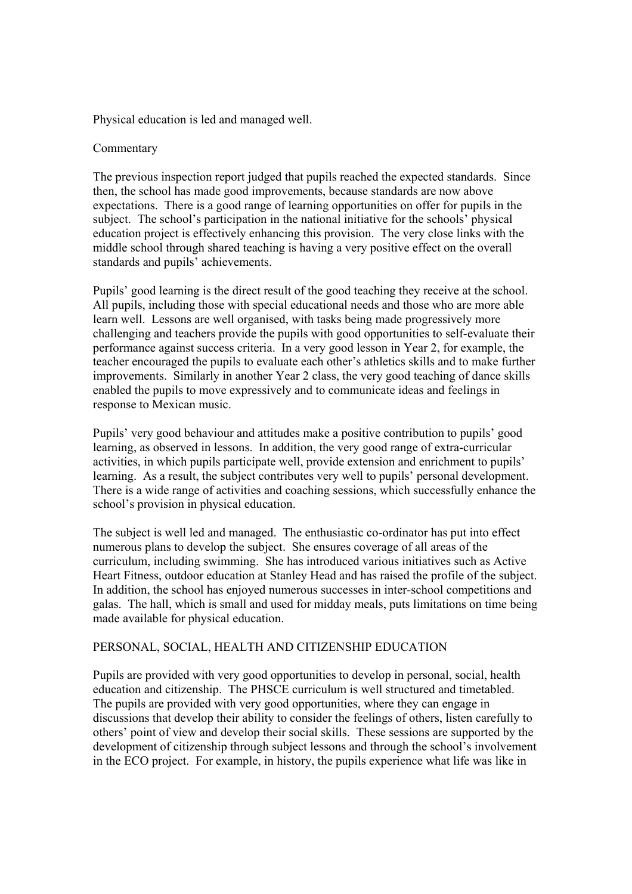Physical education is led and managed well.

### Commentary

The previous inspection report judged that pupils reached the expected standards. Since then, the school has made good improvements, because standards are now above expectations. There is a good range of learning opportunities on offer for pupils in the subject. The school's participation in the national initiative for the schools' physical education project is effectively enhancing this provision. The very close links with the middle school through shared teaching is having a very positive effect on the overall standards and pupils' achievements.

Pupils' good learning is the direct result of the good teaching they receive at the school. All pupils, including those with special educational needs and those who are more able learn well. Lessons are well organised, with tasks being made progressively more challenging and teachers provide the pupils with good opportunities to self-evaluate their performance against success criteria. In a very good lesson in Year 2, for example, the teacher encouraged the pupils to evaluate each other's athletics skills and to make further improvements. Similarly in another Year 2 class, the very good teaching of dance skills enabled the pupils to move expressively and to communicate ideas and feelings in response to Mexican music.

Pupils' very good behaviour and attitudes make a positive contribution to pupils' good learning, as observed in lessons. In addition, the very good range of extra-curricular activities, in which pupils participate well, provide extension and enrichment to pupils' learning. As a result, the subject contributes very well to pupils' personal development. There is a wide range of activities and coaching sessions, which successfully enhance the school's provision in physical education.

The subject is well led and managed. The enthusiastic co-ordinator has put into effect numerous plans to develop the subject. She ensures coverage of all areas of the curriculum, including swimming. She has introduced various initiatives such as Active Heart Fitness, outdoor education at Stanley Head and has raised the profile of the subject. In addition, the school has enjoyed numerous successes in inter-school competitions and galas. The hall, which is small and used for midday meals, puts limitations on time being made available for physical education.

### PERSONAL, SOCIAL, HEALTH AND CITIZENSHIP EDUCATION

Pupils are provided with very good opportunities to develop in personal, social, health education and citizenship. The PHSCE curriculum is well structured and timetabled. The pupils are provided with very good opportunities, where they can engage in discussions that develop their ability to consider the feelings of others, listen carefully to others' point of view and develop their social skills. These sessions are supported by the development of citizenship through subject lessons and through the school's involvement in the ECO project. For example, in history, the pupils experience what life was like in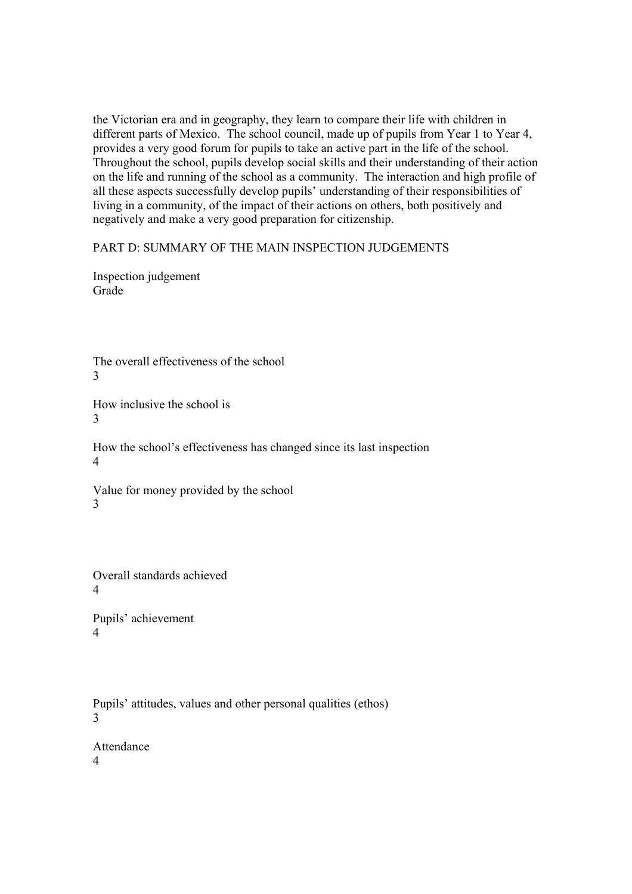the Victorian era and in geography, they learn to compare their life with children in different parts of Mexico. The school council, made up of pupils from Year 1 to Year 4, provides a very good forum for pupils to take an active part in the life of the school. Throughout the school, pupils develop social skills and their understanding of their action on the life and running of the school as a community. The interaction and high profile of all these aspects successfully develop pupils' understanding of their responsibilities of living in a community, of the impact of their actions on others, both positively and negatively and make a very good preparation for citizenship.

PART D: SUMMARY OF THE MAIN INSPECTION JUDGEMENTS

Inspection judgement Grade

The overall effectiveness of the school 3

How inclusive the school is 3

How the school's effectiveness has changed since its last inspection 4

Value for money provided by the school 3

Overall standards achieved 4

Pupils' achievement 4

Pupils' attitudes, values and other personal qualities (ethos) 3

Attendance 4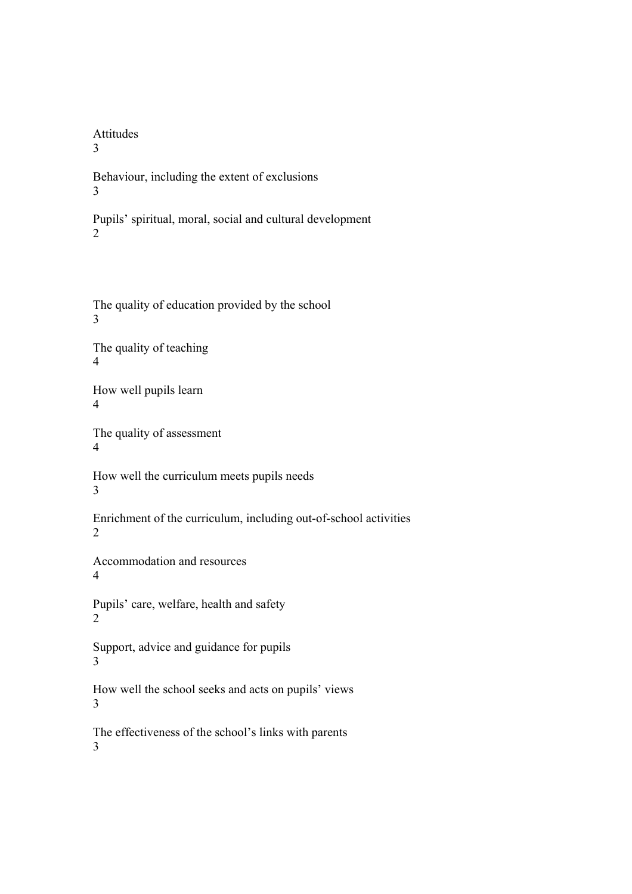# Attitudes

3

Behaviour, including the extent of exclusions 3

Pupils' spiritual, moral, social and cultural development 2

The quality of education provided by the school 3

The quality of teaching 4

How well pupils learn 4

The quality of assessment 4

How well the curriculum meets pupils needs 3

Enrichment of the curriculum, including out-of-school activities 2

Accommodation and resources 4

Pupils' care, welfare, health and safety 2

Support, advice and guidance for pupils 3

How well the school seeks and acts on pupils' views 3

The effectiveness of the school's links with parents 3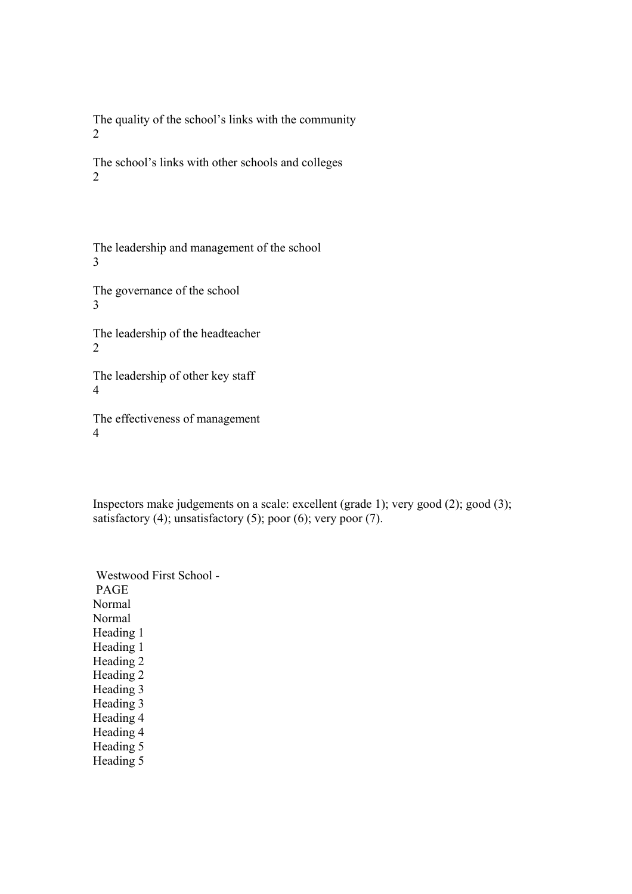The quality of the school's links with the community 2

The school's links with other schools and colleges 2

The leadership and management of the school 3

The governance of the school 3

The leadership of the headteacher 2

The leadership of other key staff 4

The effectiveness of management 4

Inspectors make judgements on a scale: excellent (grade 1); very good (2); good (3); satisfactory  $(4)$ ; unsatisfactory  $(5)$ ; poor  $(6)$ ; very poor  $(7)$ .

 Westwood First School - PAGE Normal Normal Heading 1 Heading 1 Heading 2 Heading 2 Heading 3 Heading 3 Heading 4 Heading 4 Heading 5 Heading 5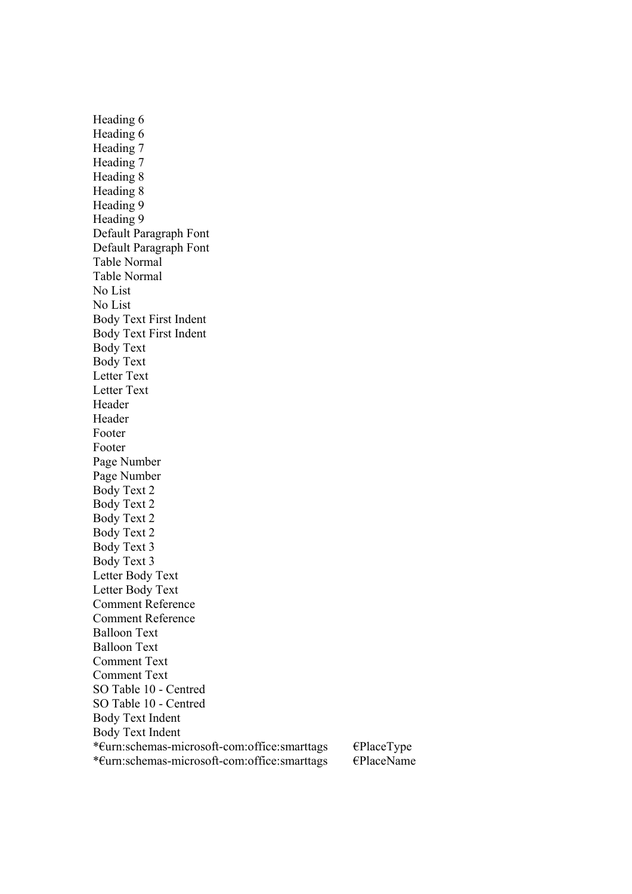Heading 6 Heading 6 Heading 7 Heading 7 Heading 8 Heading 8 Heading 9 Heading 9 Default Paragraph Font Default Paragraph Font Table Normal Table Normal No List No List Body Text First Indent Body Text First Indent Body Text Body Text Letter Text Letter Text Header Header Footer Footer Page Number Page Number Body Text 2 Body Text 2 Body Text 2 Body Text 2 Body Text 3 Body Text 3 Letter Body Text Letter Body Text Comment Reference Comment Reference Balloon Text Balloon Text Comment Text Comment Text SO Table 10 - Centred SO Table 10 - Centred Body Text Indent Body Text Indent \*€urn:schemas-microsoft-com:office:smarttags €PlaceType \*€urn:schemas-microsoft-com:office:smarttags €PlaceName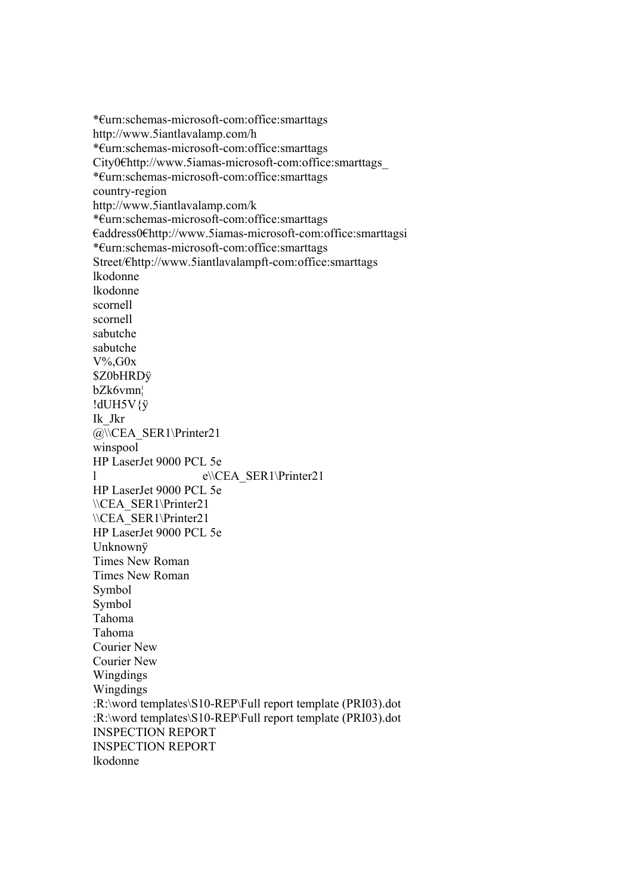\*€urn:schemas-microsoft-com:office:smarttags http://www.5iantlavalamp.com/h \*€urn:schemas-microsoft-com:office:smarttags City0€http://www.5iamas-microsoft-com:office:smarttags\_ \*€urn:schemas-microsoft-com:office:smarttags country-region http://www.5iantlavalamp.com/k \*€urn:schemas-microsoft-com:office:smarttags €address0€http://www.5iamas-microsoft-com:office:smarttagsi \*€urn:schemas-microsoft-com:office:smarttags Street/€http://www.5iantlavalampft-com:office:smarttags lkodonne lkodonne scornell scornell sabutche sabutche V%,G0x \$Z0bHRDÿ bZk6vmn¦ !dUH5V{ÿ Ik\_Jkr @\\CEA\_SER1\Printer21 winspool HP LaserJet 9000 PCL 5e l e\\CEA\_SER1\Printer21 HP LaserJet 9000 PCL 5e \\CEA\_SER1\Printer21 \\CEA\_SER1\Printer21 HP LaserJet 9000 PCL 5e Unknownÿ Times New Roman Times New Roman Symbol Symbol Tahoma Tahoma Courier New Courier New Wingdings Wingdings :R:\word templates\S10-REP\Full report template (PRI03).dot :R:\word templates\S10-REP\Full report template (PRI03).dot INSPECTION REPORT INSPECTION REPORT lkodonne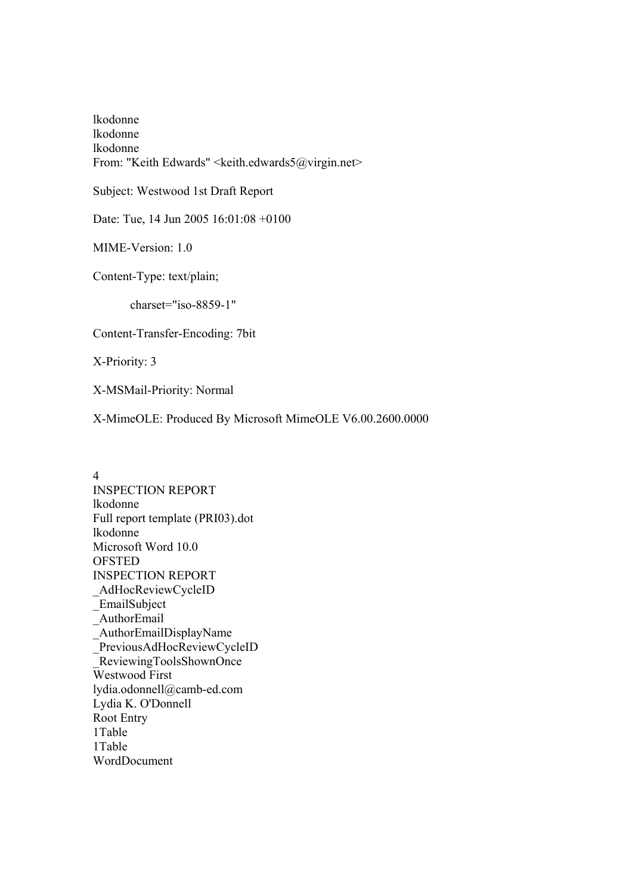lkodonne lkodonne lkodonne From: "Keith Edwards" <keith.edwards5@virgin.net>

Subject: Westwood 1st Draft Report

Date: Tue, 14 Jun 2005 16:01:08 +0100

MIME-Version: 1.0

Content-Type: text/plain;

charset="iso-8859-1"

Content-Transfer-Encoding: 7bit

X-Priority: 3

X-MSMail-Priority: Normal

X-MimeOLE: Produced By Microsoft MimeOLE V6.00.2600.0000

4 INSPECTION REPORT lkodonne Full report template (PRI03).dot lkodonne Microsoft Word 10.0 **OFSTED** INSPECTION REPORT \_AdHocReviewCycleID \_EmailSubject \_AuthorEmail \_AuthorEmailDisplayName \_PreviousAdHocReviewCycleID \_ReviewingToolsShownOnce Westwood First lydia.odonnell@camb-ed.com Lydia K. O'Donnell Root Entry 1Table 1Table WordDocument